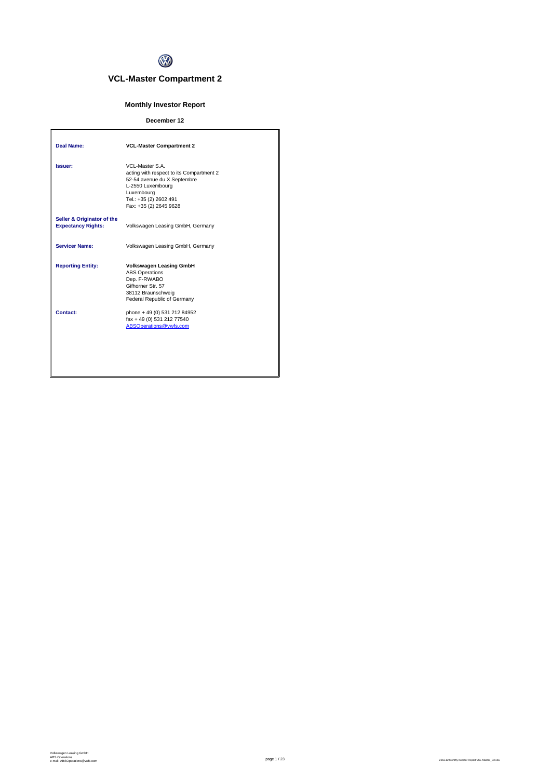

# **VCL-Master Compartment 2**

## **Monthly Investor Report**

## **December 12**

| Deal Name:                                              | <b>VCL-Master Compartment 2</b>                                                                                                                                                   |
|---------------------------------------------------------|-----------------------------------------------------------------------------------------------------------------------------------------------------------------------------------|
| Issuer:                                                 | VCL-Master S.A.<br>acting with respect to its Compartment 2<br>52-54 avenue du X Septembre<br>L-2550 Luxembourg<br>Luxembourg<br>Tel.: +35 (2) 2602 491<br>Fax: +35 (2) 2645 9628 |
| Seller & Originator of the<br><b>Expectancy Rights:</b> | Volkswagen Leasing GmbH, Germany                                                                                                                                                  |
| <b>Servicer Name:</b>                                   | Volkswagen Leasing GmbH, Germany                                                                                                                                                  |
| <b>Reporting Entity:</b>                                | <b>Volkswagen Leasing GmbH</b><br><b>ABS Operations</b><br>Dep. F-RWABO<br>Gifhorner Str. 57<br>38112 Braunschweig<br>Federal Republic of Germany                                 |
| Contact:                                                | phone + 49 (0) 531 212 84952<br>fax + 49 (0) 531 212 77540<br>ABSOperations@vwfs.com                                                                                              |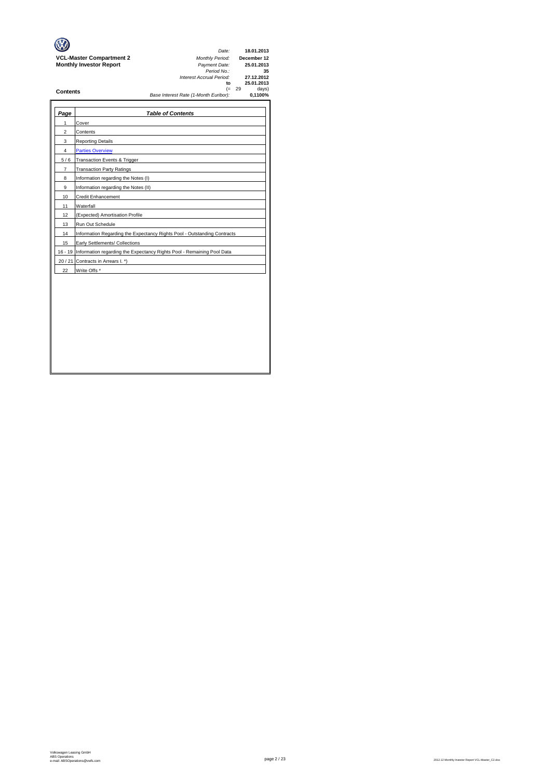|                                 | Date:                                 |          | 18.01.2013  |
|---------------------------------|---------------------------------------|----------|-------------|
| <b>VCL-Master Compartment 2</b> | <b>Monthly Period:</b>                |          | December 12 |
| <b>Monthly Investor Report</b>  | Payment Date:                         |          | 25.01.2013  |
|                                 | Period No.:                           |          | 35          |
|                                 | Interest Accrual Period:              |          | 27.12.2012  |
|                                 | to                                    |          | 25.01.2013  |
| <b>Contents</b>                 |                                       | $(= 29)$ | days)       |
|                                 | Base Interest Rate (1-Month Euribor): |          | 0.1100%     |

| Page           | <b>Table of Contents</b>                                                       |
|----------------|--------------------------------------------------------------------------------|
| 1              | Cover                                                                          |
| $\overline{2}$ | Contents                                                                       |
| 3              | <b>Reporting Details</b>                                                       |
| $\overline{4}$ | <b>Parties Overview</b>                                                        |
| 5/6            | Transaction Events & Trigger                                                   |
| $\overline{7}$ | <b>Transaction Party Ratings</b>                                               |
| 8              | Information regarding the Notes (I)                                            |
| 9              | Information regarding the Notes (II)                                           |
| 10             | <b>Credit Enhancement</b>                                                      |
| 11             | Waterfall                                                                      |
| 12             | (Expected) Amortisation Profile                                                |
| 13             | Run Out Schedule                                                               |
| 14             | Information Regarding the Expectancy Rights Pool - Outstanding Contracts       |
| 15             | Early Settlements/ Collections                                                 |
|                | 16 - 19 Information regarding the Expectancy Rights Pool - Remaining Pool Data |
|                | 20 / 21 Contracts in Arrears I. *)                                             |
| 22             | Write Offs <sup>*</sup>                                                        |
|                |                                                                                |
|                |                                                                                |
|                |                                                                                |
|                |                                                                                |
|                |                                                                                |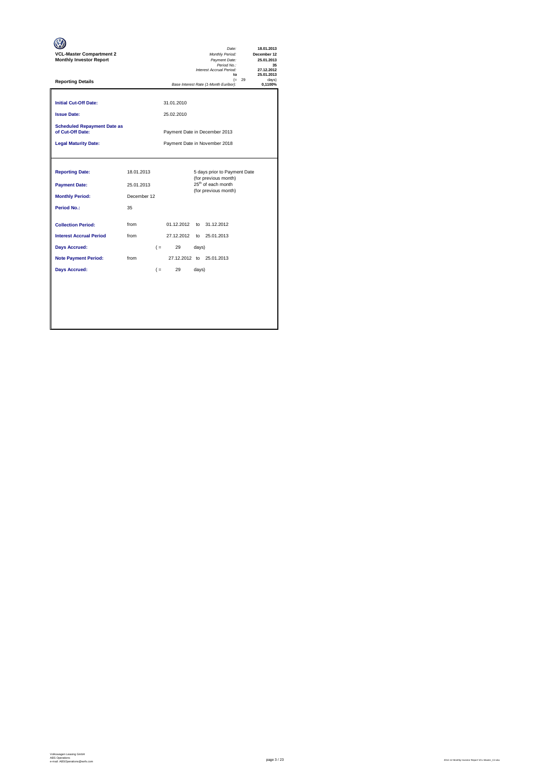| <b>VCL-Master Compartment 2</b><br><b>Monthly Investor Report</b> |             |       |                          |       | Date:<br>Monthly Period:<br>Payment Date:<br>Period No.:<br>Interest Accrual Period:<br>$\mathbf{f}$ |          | 18.01.2013<br>December 12<br>25.01.2013<br>35<br>27.12.2012<br>25.01.2013 |
|-------------------------------------------------------------------|-------------|-------|--------------------------|-------|------------------------------------------------------------------------------------------------------|----------|---------------------------------------------------------------------------|
| <b>Reporting Details</b>                                          |             |       |                          |       | Base Interest Rate (1-Month Euribor):                                                                | $(= 29)$ | davs)<br>0,1100%                                                          |
| <b>Initial Cut-Off Date:</b><br><b>Issue Date:</b>                |             |       | 31.01.2010<br>25.02.2010 |       |                                                                                                      |          |                                                                           |
| <b>Scheduled Repayment Date as</b><br>of Cut-Off Date:            |             |       |                          |       | Payment Date in December 2013                                                                        |          |                                                                           |
| <b>Legal Maturity Date:</b>                                       |             |       |                          |       | Payment Date in November 2018                                                                        |          |                                                                           |
|                                                                   |             |       |                          |       |                                                                                                      |          |                                                                           |
| <b>Reporting Date:</b>                                            | 18.01.2013  |       |                          |       | 5 days prior to Payment Date<br>(for previous month)                                                 |          |                                                                           |
| <b>Payment Date:</b>                                              | 25.01.2013  |       |                          |       | 25 <sup>th</sup> of each month<br>(for previous month)                                               |          |                                                                           |
| <b>Monthly Period:</b>                                            | December 12 |       |                          |       |                                                                                                      |          |                                                                           |
| <b>Period No.:</b>                                                | 35          |       |                          |       |                                                                                                      |          |                                                                           |
| <b>Collection Period:</b>                                         | from        |       | 01.12.2012               |       | to 31.12.2012                                                                                        |          |                                                                           |
| <b>Interest Accrual Period</b>                                    | from        |       |                          |       | 27.12.2012 to 25.01.2013                                                                             |          |                                                                           |
| <b>Days Accrued:</b>                                              |             |       | 29<br>$($ =              | days) |                                                                                                      |          |                                                                           |
| <b>Note Payment Period:</b>                                       | from        |       |                          |       | 27.12.2012 to 25.01.2013                                                                             |          |                                                                           |
| <b>Days Accrued:</b>                                              |             | $($ = | 29                       | days) |                                                                                                      |          |                                                                           |
|                                                                   |             |       |                          |       |                                                                                                      |          |                                                                           |
|                                                                   |             |       |                          |       |                                                                                                      |          |                                                                           |
|                                                                   |             |       |                          |       |                                                                                                      |          |                                                                           |
|                                                                   |             |       |                          |       |                                                                                                      |          |                                                                           |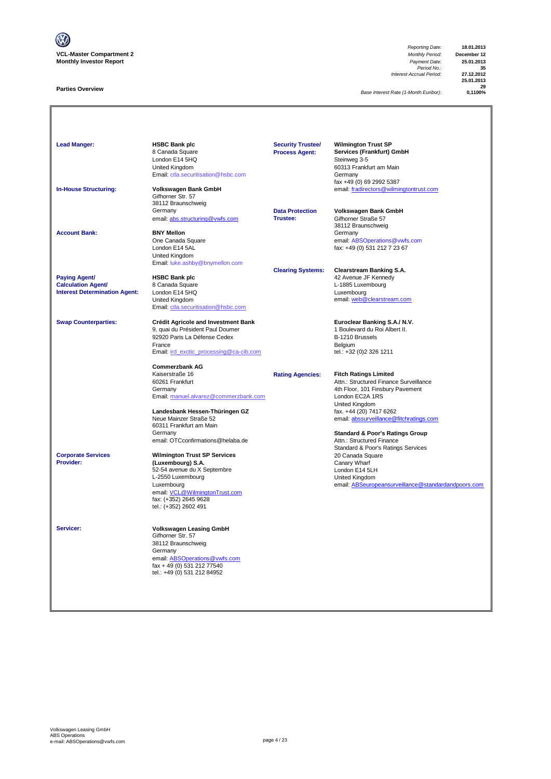

### **Parties Overview**

*Reporting Date:* **18.01.2013** *Payment Date:* **25.01.2013**<br>*Period No.:* **35**<br>*Accrual Period:* **27.12.2012** *Interest Accrual Period:* **27.12.2012**

**25.01.2013 29**

*Base Interest Rate (1-Month Euribor):* **0,1100%**

Lead Manger: **HSBC Bank plc Manufacturer Security Trustee/** Wilmington Trust SP **Services (Frankfurt) GmbH**<br>Steinweg 3-5 8 Canada Square<br>London E14 5HQ<br>United Kingdom Summay 2<br>60313 Frankfurt am Main<br>Germany [Email: ctla.securitisation@hsbc.com](mailto:ctla.securitisation@hsbc.com) fax +49 (0) 69 2992 5387 **In-House Structuring: Volkswagen Bank GmbH** email: fradirectors@wilmingtontrust.com Gifhorner Str. 57 38112 Braunschweig Germany **Data Protection Volkswagen Bank GmbH** email: abs.structuring@vwfs.com 38112 Braunschweig **Account Bank: BNY Mellon**<br>
One Canada Square One Canada Square email: ABSOperations@vwfs.com London E14 5AL fax: +49 (0) 531 212 7 23 67 United Kingdom [Email: luke.ashby@bnymellon.com](mailto:ctla.securitisation@hsbc.com) **Clearing Systems: Clearstream Banking S.A. Paying Agent/ HSBC Bank plc All and Account 1999 12 Avenue JF Kennedy Calculation Agent/** 8 Canada Square **Calculation Agent/ Business Agent/ Business Agent/ Canada Square Calculation Agent/ Canada Square Calculation Agent/ Canada Square Canada Square Calculation Agent/ Interest Determination Agent:** London E14 5HQ<br>United Kingdom United Kingdom email: <u>web @clearstream.com</u> [Email: ctla.securitisation@hsbc.com](mailto:ctla.securitisation@hsbc.com) **Swap Counterparties: Crédit Agricole and Investment Bank Euroclear Banking S.A./ N.V.**<br>9, quai du Président Paul Doumer **1996** 1 Boulevard du Roi Albert II. 9, quai du Président Paul Doumer 1 au 1000 et du Roi du Roi Albert II.<br>1 Boulevard du Franç II.<br>1 B-1210 Brussels 92920 Paris La Défense Cedex B-1210 Brussels<br>
France Belgium<br>
Email: <u>ird exotic processing@ca-cib.com</u> B-1211 entities tel.: +32 (0)2 326 1211 France Belgium [Email: ird\\_exotic\\_processing@ca-cib.com](mailto:ctla.securitisation@hsbc.com) tel.: +32 (0)2 326 1211 **Commerzbank AG** Kaiserstraße 16 **Rating Agencies: Fitch Ratings Limited** 60261 Frankfurt Attn.: Structured Finance Surveillance 4th Floor, 101 Finsbury Pavement [Email: manuel.alvarez@commerzbank.com](mailto:ctla.securitisation@hsbc.com) London EC2A 1RS United Kingdom<br>fax. +44 (20) 7417 6262 **Landesbank Hessen-Thüringen GZ**<br>Neue Mainzer Straße 52 [email: abssurveillance@fitchratings.com](mailto:abssurveillance@fitchratings.com) 60311 Frankfurt am Main **Standard & Poor's Ratings Group**<br>Attn.: Structured Finance email: OTCconfirmations@helaba.de Standard & Poor's Ratings Services<br>20 Canada Square **Corporate Services Wilmington Trust SP Services** 20 Canada Square 20 Canada Square 20 Canada Square 20 Canada Square 20 Canada Square 20 Canada Square 20 Canada Square 20 Canada Square 20 Canada Square 20 Canada Square **Providers the Canary Wharf Construction Construction Construction Construction Construction Construction Construction Construction Construction Construction Construction Construction Construction Construction Construction** 52-54 avenue du X Septembre London E14 5LH L-2550 Luxembourg email: ABSeuropeansurveillance@standardandpoors.com email: <u>VCL@WilmingtonTrust.com</u><br>fax: (+352) 2645 9628 tel.: (+352) 2602 491 **Servicer: Volkswagen Leasing GmbH** Gifhorner Str. 57 38112 Braunschweig Germany email: ABSOperations@vwfs.com fax + 49 (0) 531 212 77540 tel.: +49 (0) 531 212 84952 **Security Trustee/ Process Agent:**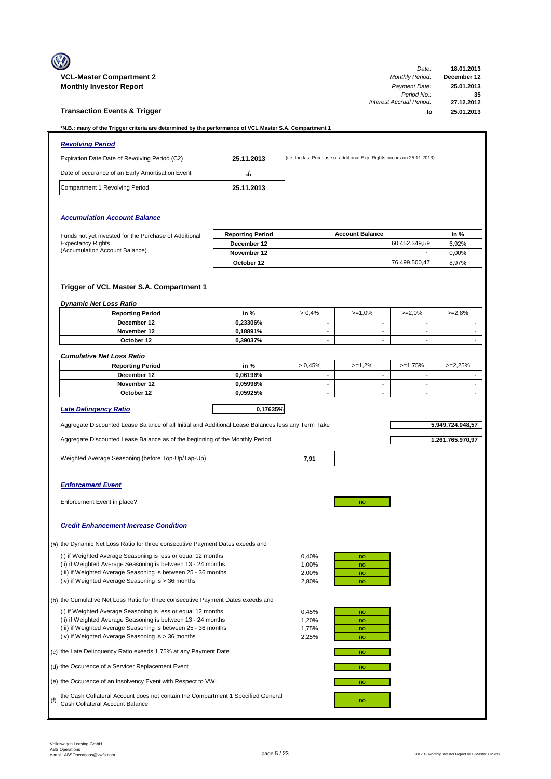|     | <b>VCL-Master Compartment 2</b><br><b>Monthly Investor Report</b>                                                                                                                                                                                  |                           |                                  |                                                                         | Date:<br><b>Monthly Period:</b><br>Payment Date:<br>Period No.: | 18.01.2013<br>December 12<br>25.01.2013<br>35 |
|-----|----------------------------------------------------------------------------------------------------------------------------------------------------------------------------------------------------------------------------------------------------|---------------------------|----------------------------------|-------------------------------------------------------------------------|-----------------------------------------------------------------|-----------------------------------------------|
|     | <b>Transaction Events &amp; Trigger</b>                                                                                                                                                                                                            |                           |                                  |                                                                         | Interest Accrual Period:<br>to                                  | 27.12.2012<br>25.01.2013                      |
|     | *N.B.: many of the Trigger criteria are determined by the performance of VCL Master S.A. Compartment 1                                                                                                                                             |                           |                                  |                                                                         |                                                                 |                                               |
|     | <b>Revolving Period</b>                                                                                                                                                                                                                            |                           |                                  |                                                                         |                                                                 |                                               |
|     | Expiration Date Date of Revolving Period (C2)                                                                                                                                                                                                      | 25.11.2013                |                                  | (i.e. the last Purchase of additional Exp. Rights occurs on 25.11.2013) |                                                                 |                                               |
|     | Date of occurance of an Early Amortisation Event                                                                                                                                                                                                   | J.                        |                                  |                                                                         |                                                                 |                                               |
|     | Compartment 1 Revolving Period                                                                                                                                                                                                                     | 25.11.2013                |                                  |                                                                         |                                                                 |                                               |
|     | <b>Accumulation Account Balance</b>                                                                                                                                                                                                                |                           |                                  |                                                                         |                                                                 |                                               |
|     | Funds not yet invested for the Purchase of Additional                                                                                                                                                                                              | <b>Reporting Period</b>   |                                  | <b>Account Balance</b>                                                  |                                                                 | in %                                          |
|     | <b>Expectancy Rights</b>                                                                                                                                                                                                                           | December 12               |                                  |                                                                         | 60.452.349,59                                                   | 6,92%                                         |
|     | (Accumulation Account Balance)                                                                                                                                                                                                                     | November 12<br>October 12 |                                  |                                                                         | 76.499.500,47                                                   | 0,00%<br>8,97%                                |
|     |                                                                                                                                                                                                                                                    |                           |                                  |                                                                         |                                                                 |                                               |
|     | Trigger of VCL Master S.A. Compartment 1                                                                                                                                                                                                           |                           |                                  |                                                                         |                                                                 |                                               |
|     | <b>Dynamic Net Loss Ratio</b><br><b>Reporting Period</b>                                                                                                                                                                                           | in %                      | > 0.4%                           | $>=1,0%$                                                                | $>=2,0%$                                                        | $>=2,8%$                                      |
|     | December 12                                                                                                                                                                                                                                        | 0,23306%                  | $\mathbf{r}$                     | $\sim$                                                                  | $\mathbf{r}$                                                    |                                               |
|     | November 12                                                                                                                                                                                                                                        | 0,18891%                  | $\overline{\phantom{m}}$         | $\overline{\phantom{a}}$                                                | $\overline{\phantom{a}}$                                        |                                               |
|     | October 12                                                                                                                                                                                                                                         | 0,39037%                  | $\overline{\phantom{a}}$         | $\sim$                                                                  | $\overline{\phantom{a}}$                                        |                                               |
|     | <b>Cumulative Net Loss Ratio</b>                                                                                                                                                                                                                   |                           |                                  |                                                                         |                                                                 |                                               |
|     | <b>Reporting Period</b><br>December 12                                                                                                                                                                                                             | in %<br>0,06196%          | > 0.45%<br>$\sim$                | $>=1,2%$<br>$\sim$                                                      | $>=1,75%$<br>$\sim$                                             | $>=2,25%$                                     |
|     | November 12                                                                                                                                                                                                                                        | 0,05998%                  | $\overline{\phantom{a}}$         | $\overline{\phantom{a}}$                                                | $\blacksquare$                                                  | ٠                                             |
|     | October 12                                                                                                                                                                                                                                         | 0,05925%                  | $\overline{\phantom{m}}$         | $\blacksquare$                                                          | $\blacksquare$                                                  |                                               |
|     | <b>Late Delingency Ratio</b>                                                                                                                                                                                                                       | 0,17635%                  |                                  |                                                                         |                                                                 |                                               |
|     | Aggregate Discounted Lease Balance of all Initial and Additional Lease Balances less any Term Take                                                                                                                                                 |                           |                                  |                                                                         |                                                                 | 5.949.724.048,57                              |
|     | Aggregate Discounted Lease Balance as of the beginning of the Monthly Period                                                                                                                                                                       |                           |                                  |                                                                         |                                                                 | 1.261.765.970,97                              |
|     | Weighted Average Seasoning (before Top-Up/Tap-Up)                                                                                                                                                                                                  |                           | 7,91                             |                                                                         |                                                                 |                                               |
|     | <b>Enforcement Event</b>                                                                                                                                                                                                                           |                           |                                  |                                                                         |                                                                 |                                               |
|     |                                                                                                                                                                                                                                                    |                           |                                  |                                                                         |                                                                 |                                               |
|     | Enforcement Event in place?                                                                                                                                                                                                                        |                           |                                  | no                                                                      |                                                                 |                                               |
|     | <b>Credit Enhancement Increase Condition</b>                                                                                                                                                                                                       |                           |                                  |                                                                         |                                                                 |                                               |
|     | (a) the Dynamic Net Loss Ratio for three consecutive Payment Dates exeeds and                                                                                                                                                                      |                           |                                  |                                                                         |                                                                 |                                               |
|     | (i) if Weighted Average Seasoning is less or equal 12 months<br>(ii) if Weighted Average Seasoning is between 13 - 24 months<br>(iii) if Weighted Average Seasoning is between 25 - 36 months<br>(iv) if Weighted Average Seasoning is > 36 months |                           | 0,40%<br>1,00%<br>2,00%<br>2,80% | no<br>no<br>no<br>no                                                    |                                                                 |                                               |
|     | (b) the Cumulative Net Loss Ratio for three consecutive Payment Dates exeeds and                                                                                                                                                                   |                           |                                  |                                                                         |                                                                 |                                               |
|     | (i) if Weighted Average Seasoning is less or equal 12 months<br>(ii) if Weighted Average Seasoning is between 13 - 24 months<br>(iii) if Weighted Average Seasoning is between 25 - 36 months<br>(iv) if Weighted Average Seasoning is > 36 months |                           | 0,45%<br>1,20%<br>1,75%<br>2,25% | no<br>no<br>no<br>no                                                    |                                                                 |                                               |
|     | (c) the Late Delinquency Ratio exeeds 1,75% at any Payment Date                                                                                                                                                                                    |                           |                                  | no                                                                      |                                                                 |                                               |
|     | (d) the Occurence of a Servicer Replacement Event                                                                                                                                                                                                  |                           |                                  | no                                                                      |                                                                 |                                               |
|     | (e) the Occurence of an Insolvency Event with Respect to VWL                                                                                                                                                                                       |                           |                                  | no                                                                      |                                                                 |                                               |
| (f) | the Cash Collateral Account does not contain the Compartment 1 Specified General<br>Cash Collateral Account Balance                                                                                                                                |                           |                                  | no                                                                      |                                                                 |                                               |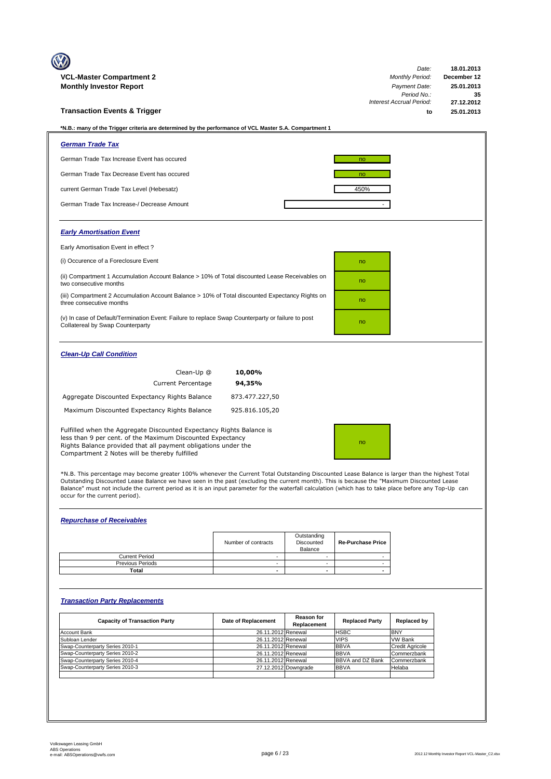| <b>VCL-Master Compartment 2</b>                                                                                                                                                                                                                       |                | Date:<br><b>Monthly Period:</b> | 18.01.2013<br>December 12 |
|-------------------------------------------------------------------------------------------------------------------------------------------------------------------------------------------------------------------------------------------------------|----------------|---------------------------------|---------------------------|
| <b>Monthly Investor Report</b>                                                                                                                                                                                                                        |                | Payment Date:                   | 25.01.2013                |
|                                                                                                                                                                                                                                                       |                | Period No.:                     | 35                        |
|                                                                                                                                                                                                                                                       |                | <b>Interest Accrual Period:</b> | 27.12.2012                |
| <b>Transaction Events &amp; Trigger</b>                                                                                                                                                                                                               |                | to                              | 25.01.2013                |
| *N.B.: many of the Trigger criteria are determined by the performance of VCL Master S.A. Compartment 1                                                                                                                                                |                |                                 |                           |
| <b>German Trade Tax</b>                                                                                                                                                                                                                               |                |                                 |                           |
| German Trade Tax Increase Event has occured                                                                                                                                                                                                           |                | no                              |                           |
| German Trade Tax Decrease Event has occured                                                                                                                                                                                                           |                | no                              |                           |
| current German Trade Tax Level (Hebesatz)                                                                                                                                                                                                             |                | 450%                            |                           |
| German Trade Tax Increase-/ Decrease Amount                                                                                                                                                                                                           |                |                                 |                           |
| <b>Early Amortisation Event</b>                                                                                                                                                                                                                       |                |                                 |                           |
| Early Amortisation Event in effect?                                                                                                                                                                                                                   |                |                                 |                           |
| (i) Occurence of a Foreclosure Event                                                                                                                                                                                                                  |                | no                              |                           |
| (ii) Compartment 1 Accumulation Account Balance > 10% of Total discounted Lease Receivables on<br>two consecutive months                                                                                                                              |                | no                              |                           |
| (iii) Compartment 2 Accumulation Account Balance > 10% of Total discounted Expectancy Rights on<br>three consecutive months                                                                                                                           |                | no                              |                           |
| (v) In case of Default/Termination Event: Failure to replace Swap Counterparty or failure to post<br>Collatereal by Swap Counterparty                                                                                                                 |                | no                              |                           |
| <b>Clean-Up Call Condition</b>                                                                                                                                                                                                                        |                |                                 |                           |
| Clean-Up @                                                                                                                                                                                                                                            | 10,00%         |                                 |                           |
| <b>Current Percentage</b>                                                                                                                                                                                                                             | 94,35%         |                                 |                           |
| Aggregate Discounted Expectancy Rights Balance                                                                                                                                                                                                        | 873.477.227,50 |                                 |                           |
| Maximum Discounted Expectancy Rights Balance                                                                                                                                                                                                          | 925.816.105,20 |                                 |                           |
| Fulfilled when the Aggregate Discounted Expectancy Rights Balance is<br>less than 9 per cent. of the Maximum Discounted Expectancy<br>Rights Balance provided that all payment obligations under the<br>Compartment 2 Notes will be thereby fulfilled |                | no                              |                           |
|                                                                                                                                                                                                                                                       |                |                                 |                           |

\*N.B. This percentage may become greater 100% whenever the Current Total Outstanding Discounted Lease Balance is larger than the highest Total<br>Outstanding Discounted Lease Balance we have seen in the past (excluding the cu Balance" must not include the current period as it is an input parameter for the waterfall calculation (which has to take place before any Top-Up can occur for the current period).

## *Repurchase of Receivables*

|                         | Number of contracts | Outstanding<br>Discounted<br>Balance | <b>Re-Purchase Price</b> |
|-------------------------|---------------------|--------------------------------------|--------------------------|
| <b>Current Period</b>   |                     |                                      |                          |
| <b>Previous Periods</b> |                     |                                      |                          |
| Total                   | -                   | $\overline{\phantom{0}}$             |                          |

## *Transaction Party Replacements*

| <b>Capacity of Transaction Party</b> | Date of Replacement | <b>Reason for</b><br>Replacement | <b>Replaced Party</b>   | Replaced by            |
|--------------------------------------|---------------------|----------------------------------|-------------------------|------------------------|
| Account Bank                         | 26.11.2012 Renewal  |                                  | <b>HSBC</b>             | <b>BNY</b>             |
| Subloan Lender                       | 26.11.2012 Renewal  |                                  | <b>VIPS</b>             | <b>VW Bank</b>         |
| Swap-Counterparty Series 2010-1      | 26.11.2012 Renewal  |                                  | <b>BBVA</b>             | <b>Credit Agricole</b> |
| Swap-Counterparty Series 2010-2      | 26.11.2012 Renewal  |                                  | <b>BBVA</b>             | Commerzbank            |
| Swap-Counterparty Series 2010-4      | 26.11.2012 Renewal  |                                  | <b>BBVA and DZ Bank</b> | Commerzbank            |
| Swap-Counterparty Series 2010-3      |                     | 27.12.2012 Downgrade             | <b>BBVA</b>             | Helaba                 |
|                                      |                     |                                  |                         |                        |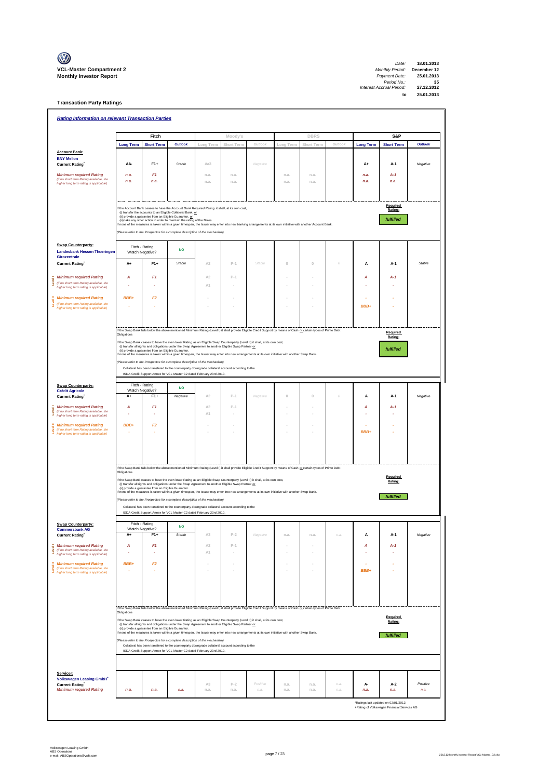

| 18.01.2013  | Date:                    |
|-------------|--------------------------|
| December 12 | <b>Monthly Period:</b>   |
| 25.01.2013  | Payment Date:            |
| 35          | Period No.:              |
| 27.12.2012  | Interest Accrual Period: |
| 25.01.2013  | to                       |
|             |                          |

**Transaction Party Ratings**

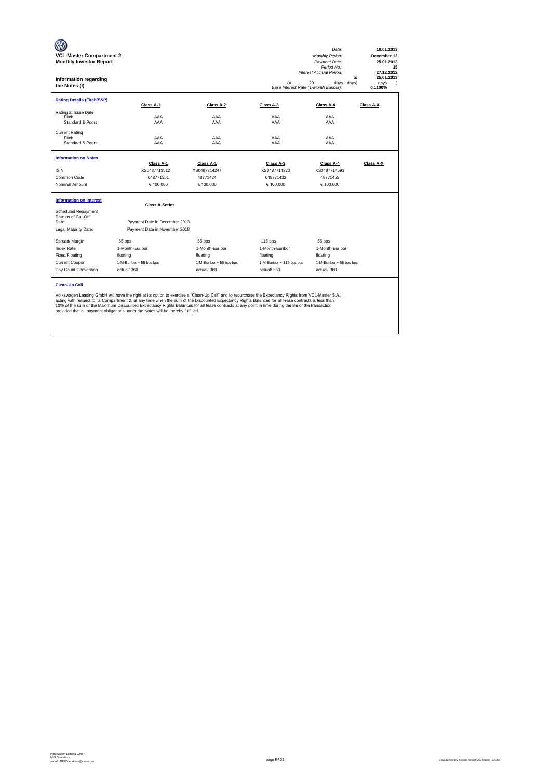| <b>VCL-Master Compartment 2</b><br><b>Monthly Investor Report</b><br>Information regarding<br>the Notes (I)                                                                                                                                                                                                                                                                                                                                                                                                                                                                       |                                                                |                           | (=<br>Base Interest Rate (1-Month Euribor): | Date:<br>Monthly Period:<br>Payment Date:<br>Period No.:<br>Interest Accrual Period:<br>29<br>days<br>days) | 18.01.2013<br>December 12<br>25.01.2013<br>35<br>27.12.2012<br>25.01.2013<br>to<br>davs<br>$\lambda$<br>0.1100% |  |  |
|-----------------------------------------------------------------------------------------------------------------------------------------------------------------------------------------------------------------------------------------------------------------------------------------------------------------------------------------------------------------------------------------------------------------------------------------------------------------------------------------------------------------------------------------------------------------------------------|----------------------------------------------------------------|---------------------------|---------------------------------------------|-------------------------------------------------------------------------------------------------------------|-----------------------------------------------------------------------------------------------------------------|--|--|
| <b>Rating Details (Fitch/S&amp;P)</b>                                                                                                                                                                                                                                                                                                                                                                                                                                                                                                                                             | Class A-1                                                      | Class A-2                 | Class A-3                                   | Class A-4                                                                                                   | Class A-X                                                                                                       |  |  |
| Rating at Issue Date<br>Fitch<br>Standard & Poors                                                                                                                                                                                                                                                                                                                                                                                                                                                                                                                                 | AAA<br>AAA                                                     | AAA<br>AAA                | AAA<br>AAA                                  | AAA<br>AAA                                                                                                  |                                                                                                                 |  |  |
| <b>Current Rating</b><br>Fitch<br>Standard & Poors                                                                                                                                                                                                                                                                                                                                                                                                                                                                                                                                | AAA<br>AAA                                                     | AAA<br>AAA                | AAA<br>AAA                                  | AAA<br>AAA                                                                                                  |                                                                                                                 |  |  |
| <b>Information on Notes</b>                                                                                                                                                                                                                                                                                                                                                                                                                                                                                                                                                       |                                                                |                           |                                             |                                                                                                             |                                                                                                                 |  |  |
| <b>ISIN</b>                                                                                                                                                                                                                                                                                                                                                                                                                                                                                                                                                                       | Class A-1<br>XS0487713512                                      | Class A-1<br>XS0487714247 | Class A-3<br>XS0487714320                   | Class A-4<br>XS0487714593                                                                                   | Class A-X                                                                                                       |  |  |
| Common Code                                                                                                                                                                                                                                                                                                                                                                                                                                                                                                                                                                       | 048771351                                                      | 48771424                  | 048771432                                   | 48771459                                                                                                    |                                                                                                                 |  |  |
| Nominal Amount                                                                                                                                                                                                                                                                                                                                                                                                                                                                                                                                                                    | € 100,000                                                      | € 100,000                 | € 100.000                                   | € 100.000                                                                                                   |                                                                                                                 |  |  |
| <b>Information on Interest</b>                                                                                                                                                                                                                                                                                                                                                                                                                                                                                                                                                    | <b>Class A-Series</b>                                          |                           |                                             |                                                                                                             |                                                                                                                 |  |  |
| <b>Scheduled Repayment</b><br>Date as of Cut-Off<br>Date:<br>Legal Maturity Date:                                                                                                                                                                                                                                                                                                                                                                                                                                                                                                 | Payment Date in December 2013<br>Payment Date in November 2018 |                           |                                             |                                                                                                             |                                                                                                                 |  |  |
| Spread/ Margin                                                                                                                                                                                                                                                                                                                                                                                                                                                                                                                                                                    | 55 bps                                                         | 55 bps                    | $115$ bps                                   | 55 bps                                                                                                      |                                                                                                                 |  |  |
| <b>Index Rate</b>                                                                                                                                                                                                                                                                                                                                                                                                                                                                                                                                                                 | 1-Month-Euribor                                                | 1-Month-Euribor           | 1-Month-Euribor                             | 1-Month-Euribor                                                                                             |                                                                                                                 |  |  |
| Fixed/Floating                                                                                                                                                                                                                                                                                                                                                                                                                                                                                                                                                                    | floating                                                       | floating                  | floating                                    | floating                                                                                                    |                                                                                                                 |  |  |
| Current Coupon                                                                                                                                                                                                                                                                                                                                                                                                                                                                                                                                                                    | 1-M-Euribor + 55 bps bps                                       | 1-M-Euribor + 55 bps bps  | 1-M-Euribor + 115 bps bps                   | 1-M-Euribor + 55 bps bps                                                                                    |                                                                                                                 |  |  |
| Day Count Convention                                                                                                                                                                                                                                                                                                                                                                                                                                                                                                                                                              | actual/360                                                     | actual/360                | actual/360                                  | actual/360                                                                                                  |                                                                                                                 |  |  |
| <b>Clean-Up Call</b><br>Volkswagen Leasing GmbH will have the right at its option to exercise a "Clean-Up Call" and to repurchase the Expectancy Rights from VCL-Master S.A.,<br>acting with respect to its Compartment 2, at any time when the sum of the Discounted Expectancy Rights Balances for all lease contracts is less than<br>10% of the sum of the Maximum Discounted Expectancy Rights Balances for all lease contracts at any point in time during the life of the transaction,<br>provided that all payment obligations under the Notes will be thereby fulfilled. |                                                                |                           |                                             |                                                                                                             |                                                                                                                 |  |  |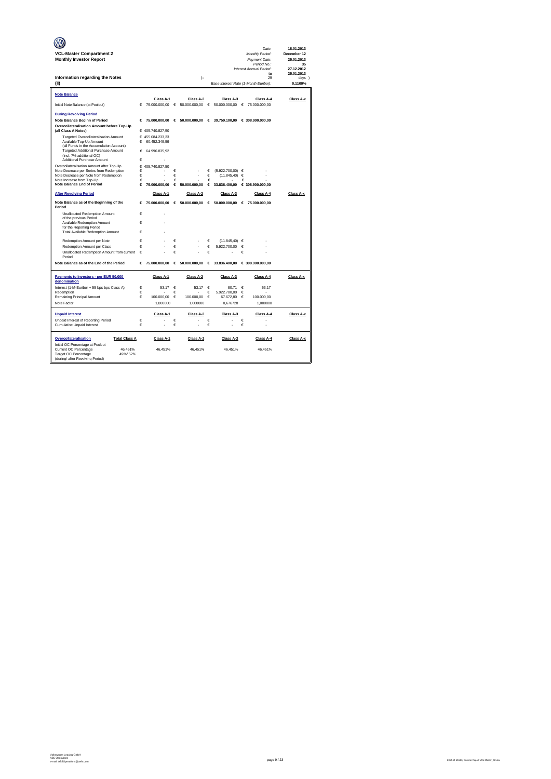|                                                                      |        |                                   |            |                            |            |                                                  |        | Date:                            | 18.01.2013                |
|----------------------------------------------------------------------|--------|-----------------------------------|------------|----------------------------|------------|--------------------------------------------------|--------|----------------------------------|---------------------------|
| <b>VCL-Master Compartment 2</b><br><b>Monthly Investor Report</b>    |        |                                   |            |                            |            |                                                  |        | Monthly Period:<br>Payment Date: | December 12<br>25.01.2013 |
|                                                                      |        |                                   |            |                            |            |                                                  |        | Period No.:                      | 35                        |
|                                                                      |        |                                   |            |                            |            |                                                  |        | Interest Accrual Period:         | 27.12.2012                |
| Information regarding the Notes                                      |        |                                   |            | $(=$                       |            |                                                  |        | to<br>29                         | 25.01.2013<br>days 1      |
| (II)                                                                 |        |                                   |            |                            |            | Base Interest Rate (1-Month Euribor):            |        |                                  | 0.1100%                   |
|                                                                      |        |                                   |            |                            |            |                                                  |        |                                  |                           |
| Note Balance                                                         |        |                                   |            |                            |            |                                                  |        |                                  |                           |
| Initial Note Balance (at Poolcut)                                    | €      | Class A-1<br>75.000.000,00        | $\epsilon$ | Class A-2<br>50.000.000,00 | $\epsilon$ | Class A-3<br>50.000.000,00                       | €      | Class A-4<br>75.000.000,00       | Class A-x                 |
|                                                                      |        |                                   |            |                            |            |                                                  |        |                                  |                           |
| <b>During Revolving Period</b>                                       |        |                                   |            |                            |            |                                                  |        |                                  |                           |
| Note Balance Beginn of Period                                        | €      | 75,000,000,00                     |            |                            |            | € 50.000.000.00 € 39.759.100.00 € 308.900.000.00 |        |                                  |                           |
| Overcollateralisation Amount before Top-Up                           |        |                                   |            |                            |            |                                                  |        |                                  |                           |
| (all Class A Notes)<br>Targeted Overcollateralisation Amount         |        | € 405.740.827,50                  |            |                            |            |                                                  |        |                                  |                           |
| Available Top-Up Amount                                              | €      | € 455.084.233.33<br>60.452.349,59 |            |                            |            |                                                  |        |                                  |                           |
| (all Funds in the Accumulation Account)                              |        |                                   |            |                            |            |                                                  |        |                                  |                           |
| Targeted Additional Purchase Amount<br>(incl. 7% additional OC)      | €      | 64.996.835.92                     |            |                            |            |                                                  |        |                                  |                           |
| Additional Purchase Amount                                           | €      |                                   |            |                            |            |                                                  |        |                                  |                           |
| Overcollateralisation Amount after Top-Up                            |        | € 405.740.827.50                  |            |                            |            |                                                  |        |                                  |                           |
| Note Decrease per Series from Redemption                             | €      |                                   | €          |                            | €          | $(5.922.700.00)$ $\in$                           |        |                                  |                           |
| Note Decrease per Note from Redemption<br>Note Increase from Tap-Up  | €<br>€ |                                   | €<br>€     |                            | €<br>€     | (11.845, 40)                                     | €<br>€ |                                  |                           |
| Note Balance End of Period                                           | €      | 75,000,000,00                     | €          | 50,000,000.00              | €          | 33.836.400,00                                    |        | € 308,900,000,00                 |                           |
| <b>After Revolving Period</b>                                        |        | Class A-1                         |            | Class A-2                  |            | Class A-3                                        |        | Class A-4                        | Class A-x                 |
| Note Balance as of the Beginning of the                              | €      | 75.000.000,00                     |            |                            |            | € 50.000.000,00 € 50.000.000,00                  | €      | 75.000.000,00                    |                           |
| Period                                                               |        |                                   |            |                            |            |                                                  |        |                                  |                           |
| Unallocated Redemption Amount                                        | €      |                                   |            |                            |            |                                                  |        |                                  |                           |
| of the previous Period<br>Available Redemption Amount                | €      |                                   |            |                            |            |                                                  |        |                                  |                           |
| for the Reporting Period                                             |        |                                   |            |                            |            |                                                  |        |                                  |                           |
| Total Available Redemption Amount                                    | €      |                                   |            |                            |            |                                                  |        |                                  |                           |
| Redemption Amount per Note                                           | €      |                                   | €          |                            | €          | $(11.845.40) \in$                                |        |                                  |                           |
| Redemption Amount per Class                                          | €      |                                   | €          |                            | €          | 5.922.700.00                                     | €      |                                  |                           |
| Unallocated Redemption Amount from current                           | €      |                                   | €          |                            | €          |                                                  | €      |                                  |                           |
| Period                                                               |        |                                   |            |                            |            |                                                  |        |                                  |                           |
| Note Balance as of the End of the Period                             | €      | 75.000.000.00                     | €          | 50.000.000,00              | €          | 33.836.400.00                                    |        | € 308,900,000,00                 |                           |
| Payments to Investors - per EUR 50.000                               |        | Class A-1                         |            | Class A-2                  |            | Class A-3                                        |        | Class A-4                        | Class A-x                 |
| denomination                                                         |        |                                   |            |                            |            |                                                  |        |                                  |                           |
| Interest (1-M-Euribor + 55 bps bps Class A)                          | €      | 53,17                             | €          | 53.17                      | €          | 80.71                                            | €      | 53,17                            |                           |
| Redemption<br>Remaining Principal Amount                             | €<br>€ | 100,000.00                        | €<br>€     | 100,000,00                 | €          | 5.922.700,00                                     | €      |                                  |                           |
| Note Factor                                                          |        | 1.000000                          |            | 1.000000                   | €          | 67.672.80<br>0.676728                            | €      | 100,000.00<br>1.000000           |                           |
|                                                                      |        |                                   |            |                            |            |                                                  |        |                                  |                           |
| <b>Unpaid Interest</b>                                               |        | Class A-1                         |            | Class A-2                  |            | Class A-3                                        |        | Class A-4                        | Class A-x                 |
| Unpaid Interest of Reporting Period                                  | €      |                                   | €          |                            | €          |                                                  | €      |                                  |                           |
| Cumulative Unpaid Interest                                           | €      |                                   | €          | ä,                         | €          |                                                  | €      | ï                                |                           |
|                                                                      |        |                                   |            |                            |            |                                                  |        |                                  |                           |
| Overcollateralisation<br><b>Total Class A</b>                        |        | Class A-1                         |            | Class A-2                  |            | Class A-3                                        |        | Class A-4                        | Class A-x                 |
| Initial OC Percentage at Poolcut<br>Current OC Percentage<br>46.451% |        | 46.451%                           |            | 46.451%                    |            | 46.451%                                          |        | 46.451%                          |                           |
| Target OC Percentage<br>49%/52%                                      |        |                                   |            |                            |            |                                                  |        |                                  |                           |
| (during/ after Revolving Period)                                     |        |                                   |            |                            |            |                                                  |        |                                  |                           |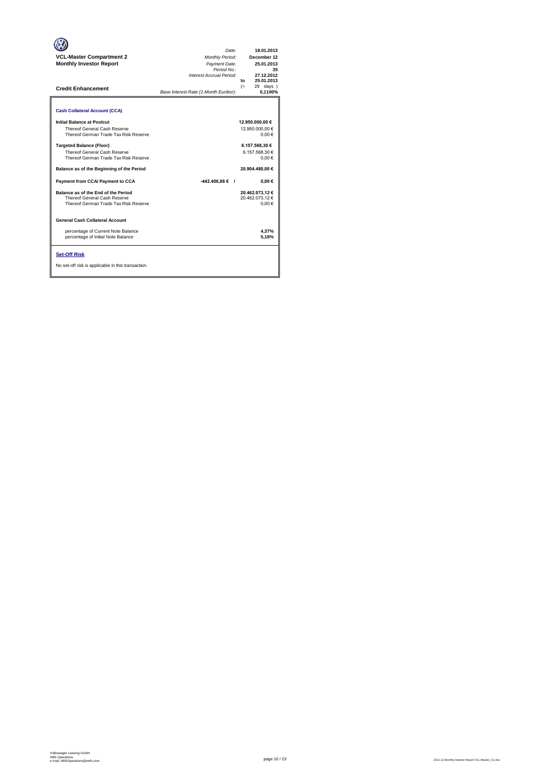| <b>VCL-Master Compartment 2</b><br><b>Monthly Investor Report</b><br><b>Credit Enhancement</b>                  | Date:<br>Monthly Period:<br>Payment Date:<br>Period No.:<br>Interest Accrual Period:<br>Base Interest Rate (1-Month Euribor): | 18.01.2013<br>December 12<br>25.01.2013<br>35<br>27.12.2012<br>25.01.2013<br>to<br>$(=$<br>29 days<br>0,1100% |
|-----------------------------------------------------------------------------------------------------------------|-------------------------------------------------------------------------------------------------------------------------------|---------------------------------------------------------------------------------------------------------------|
| <b>Cash Collateral Account (CCA)</b>                                                                            |                                                                                                                               |                                                                                                               |
| Initial Balance at Poolcut<br>Thereof General Cash Reserve<br>Thereof German Trade Tax Risk Reserve             |                                                                                                                               | 12.950.000,00 €<br>12.950.000.00 €<br>0.00€                                                                   |
| <b>Targeted Balance (Floor)</b><br><b>Thereof General Cash Reserve</b><br>Thereof German Trade Tax Risk Reserve |                                                                                                                               | 6.157.568,30 €<br>6.157.568.30 €<br>$0.00 \in$                                                                |
| Balance as of the Beginning of the Period                                                                       |                                                                                                                               | 20.904.480.00 €                                                                                               |
| Payment from CCA/ Payment to CCA                                                                                | $-442.406.88 \in$ /                                                                                                           | $0.00 \in$                                                                                                    |
| Balance as of the End of the Period<br>Thereof General Cash Reserve<br>Thereof German Trade Tax Risk Reserve    |                                                                                                                               | 20.462.073.12 €<br>20.462.073.12 €<br>0.00€                                                                   |
| General Cash Collateral Account                                                                                 |                                                                                                                               |                                                                                                               |
| percentage of Current Note Balance<br>percentage of Initial Note Balance                                        |                                                                                                                               | 4,37%<br>5.18%                                                                                                |
| <b>Set-Off Risk</b><br>No set-off risk is applicable in this transaction.                                       |                                                                                                                               |                                                                                                               |

**. . . .** Trigger Level 1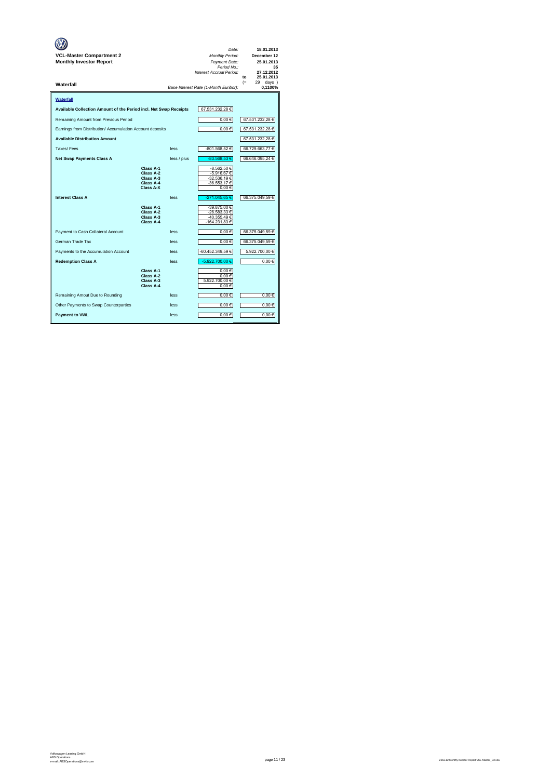| VCL-Master Compartment 2<br><b>Monthly Investor Report</b>        |                                                               |             | Date:<br>Monthly Period:<br>Payment Date:<br>Period No.:<br>Interest Accrual Period: | 18.01.2013<br>December 12<br>25.01.2013<br>35<br>27.12.2012<br>25.01.2013<br>to |
|-------------------------------------------------------------------|---------------------------------------------------------------|-------------|--------------------------------------------------------------------------------------|---------------------------------------------------------------------------------|
| Waterfall                                                         |                                                               |             | Base Interest Rate (1-Month Euribor):                                                | $(=$<br>29<br>$days$ )<br>0.1100%                                               |
| Waterfall                                                         |                                                               |             |                                                                                      |                                                                                 |
| Available Collection Amount of the Period incl. Net Swap Receipts |                                                               |             | 67.531.232,28€                                                                       |                                                                                 |
| Remaining Amount from Previous Period                             |                                                               |             | $0.00 \in$                                                                           | 67.531.232,28 €                                                                 |
| Earnings from Distribution/ Accumulation Account deposits         |                                                               |             | $0,00 \in$                                                                           | 67.531.232,28 €                                                                 |
| <b>Available Distribution Amount</b>                              |                                                               |             |                                                                                      | 67.531.232,28 €                                                                 |
| Taxes/Fees                                                        |                                                               | less        | -801.568,52€                                                                         | 66.729.663,77€                                                                  |
| <b>Net Swap Payments Class A</b>                                  |                                                               | less / plus | -83.568,53 €                                                                         | 66.646.095,24 €                                                                 |
|                                                                   | Class A-1<br>Class A-2<br>Class A-3<br>Class A-4<br>Class A-X |             | -8.562,50 €<br>-5.916,67 €<br>-32.536,19 €<br>-36.553,17 €<br>0.00€                  |                                                                                 |
| <b>Interest Class A</b>                                           |                                                               | less        | -271.045,65€                                                                         | 66.375.049,59€                                                                  |
|                                                                   | Class A-1<br>Class A-2<br>Class A-3<br>Class A-4              |             | -39.875,00 €<br>-26.583.33 €<br>-40.355,49€<br>-164.231,83€                          |                                                                                 |
| Payment to Cash Collateral Account                                |                                                               | less        | $0,00 \in$                                                                           | 66.375.049,59 €                                                                 |
| German Trade Tax                                                  |                                                               | less        | $0,00 \in$                                                                           | 66.375.049,59 €                                                                 |
| Payments to the Accumulation Account                              |                                                               | less        | -60.452.349,59 €                                                                     | 5.922.700,00 €                                                                  |
| <b>Redemption Class A</b>                                         |                                                               | less        | -5.922.700,00 €                                                                      | $0,00 \in$                                                                      |
|                                                                   | Class A-1<br>Class A-2<br>Class A-3<br>Class A-4              |             | 0.00€<br>0.00€<br>5.922.700.00 €<br>0,00€                                            |                                                                                 |
| Remaining Amout Due to Rounding                                   |                                                               | less        | $0,00 \in$                                                                           | 0,00€                                                                           |
| Other Payments to Swap Counterparties                             |                                                               | less        | $0,00 \in$                                                                           | $0,00$ €                                                                        |
| <b>Payment to VWL</b>                                             |                                                               | less        | $0,00 \in$                                                                           | $0,00$ €                                                                        |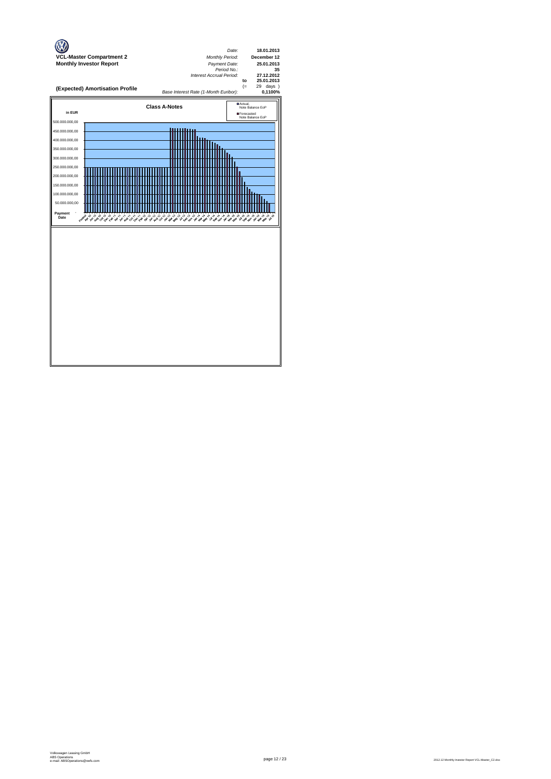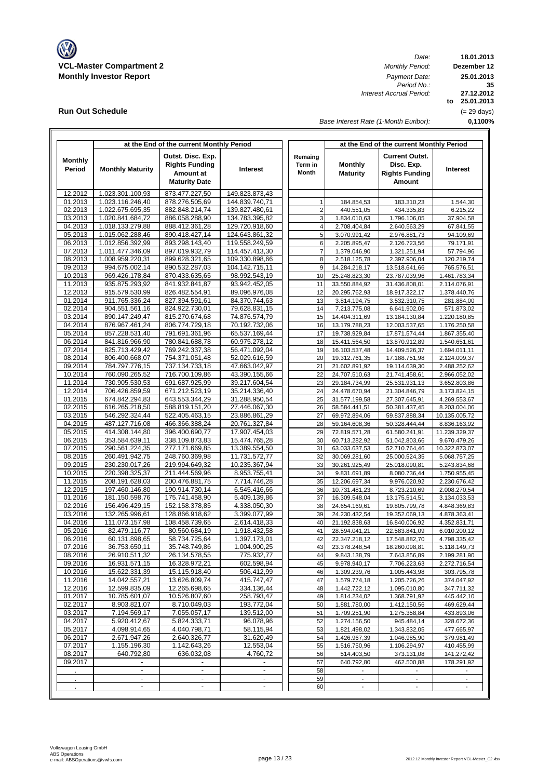

**Run Out Schedule**

ľ

*Date:*<br>*Monthly Period: Period No.: Interest Accrual Period:*

**18.01.2013 Dezember 12 to 25.01.2013 35 25.01.2013 27.12.2012** (= 29 days)

*Base Interest Rate (1-Month Euribor):*

**0,1100%**

|                          |                                  | at the End of the current Monthly Period                                        |                                |                             | at the End of the current Monthly Period |                                                                        |                               |  |  |
|--------------------------|----------------------------------|---------------------------------------------------------------------------------|--------------------------------|-----------------------------|------------------------------------------|------------------------------------------------------------------------|-------------------------------|--|--|
| <b>Monthly</b><br>Period | <b>Monthly Maturity</b>          | Outst. Disc. Exp.<br><b>Rights Funding</b><br>Amount at<br><b>Maturity Date</b> | <b>Interest</b>                | Remaing<br>Term in<br>Month | <b>Monthly</b><br><b>Maturity</b>        | <b>Current Outst.</b><br>Disc. Exp.<br><b>Rights Funding</b><br>Amount | <b>Interest</b>               |  |  |
| 12.2012                  | 1.023.301.100,93                 | 873.477.227,50                                                                  | 149.823.873.43                 |                             |                                          |                                                                        |                               |  |  |
| 01.2013                  | 1.023.116.246,40                 | 878.276.505,69                                                                  | 144.839.740.71                 | $\mathbf{1}$                | 184.854,53                               | 183.310,23                                                             | 1.544,30                      |  |  |
| 02.2013                  | 1.022.675.695,35                 | 882.848.214,74                                                                  | 139.827.480,61                 | $\overline{\mathbf{c}}$     | 440.551,05                               | 434.335,83                                                             | 6.215,22                      |  |  |
| 03.2013                  | 1.020.841.684,72                 | 886.058.288,90                                                                  | 134.783.395,82                 | 3                           | 1.834.010,63                             | 1.796.106,05                                                           | 37.904,58                     |  |  |
| 04.2013                  | 1.018.133.279,88                 | 888.412.361,28                                                                  | 129.720.918,60                 | $\overline{4}$              | 2.708.404,84                             | 2.640.563,29                                                           | 67.841,55                     |  |  |
| 05.2013                  | 1.015.062.288,46                 | 890.418.427,14                                                                  | 124.643.861,32                 | 5                           | 3.070.991,42                             | 2.976.881,73                                                           | 94.109,69                     |  |  |
| 06.2013                  | 1.012.856.392,99                 | 893.298.143,40                                                                  | 119.558.249,59                 | 6                           | 2.205.895,47                             | 2.126.723,56                                                           | 79.171,91                     |  |  |
| 07.2013                  | 1.011.477.346,09                 | 897.019.932,79                                                                  | 114.457.413,30                 | $\overline{7}$              | 1.379.046,90                             | 1.321.251,94                                                           | 57.794,96                     |  |  |
| 08.2013                  | 1.008.959.220,31                 | 899.628.321,65                                                                  | 109.330.898,66                 | 8                           | 2.518.125,78                             | 2.397.906,04                                                           | 120.219,74                    |  |  |
| 09.2013                  | 994.675.002,14                   | 890.532.287,03                                                                  | 104.142.715,11                 | 9                           | 14.284.218,17                            | 13.518.641,66                                                          | 765.576,51                    |  |  |
| 10.2013                  | 969.426.178,84                   | 870.433.635,65                                                                  | 98.992.543,19                  | 10                          | 25.248.823,30                            | 23.787.039,96                                                          | 1.461.783,34                  |  |  |
| 11.2013                  | 935.875.293,92                   | 841.932.841,87                                                                  | 93.942.452,05                  | 11                          | 33.550.884,92                            | 31.436.808,01                                                          | 2.114.076,91                  |  |  |
| 12.2013                  | 915.579.530,99                   | 826.482.554,91                                                                  | 89.096.976,08                  | 12                          | 20.295.762,93                            | 18.917.322,17                                                          | 1.378.440,76                  |  |  |
| 01.2014                  | 911.765.336,24                   | 827.394.591,61                                                                  | 84.370.744,63                  | 13                          | 3.814.194,75                             | 3.532.310,75                                                           | 281.884,00                    |  |  |
| 02.2014                  | 904.551.561,16                   | 824.922.730,01                                                                  | 79.628.831,15                  | 14                          | 7.213.775,08                             | 6.641.902,06                                                           | 571.873,02                    |  |  |
| 03.2014                  | 890.147.249,47                   | 815.270.674,68                                                                  | 74.876.574,79                  | 15                          | 14.404.311,69                            | 13.184.130,84                                                          | 1.220.180,85                  |  |  |
| 04.2014                  | 876.967.461,24                   | 806.774.729,18                                                                  | 70.192.732,06                  | 16                          | 13.179.788,23                            | 12.003.537,65                                                          | 1.176.250,58                  |  |  |
| 05.2014                  | 857.228.531,40                   | 791.691.361,96                                                                  | 65.537.169,44                  | 17                          | 19.738.929,84                            | 17.871.574,44                                                          | 1.867.355,40                  |  |  |
| 06.2014                  | 841.816.966,90                   | 780.841.688,78                                                                  | 60.975.278,12                  | 18                          | 15.411.564,50                            | 13.870.912,89                                                          | 1.540.651,61                  |  |  |
| 07.2014                  | 825.713.429,42                   | 769.242.337,38                                                                  | 56.471.092,04                  | 19                          | 16.103.537,48                            | 14.409.526,37                                                          | 1.694.011,11                  |  |  |
| 08.2014                  | 806.400.668,07                   | 754.371.051,48                                                                  | 52.029.616,59                  | 20                          | 19.312.761,35                            | 17.188.751,98                                                          | 2.124.009,37                  |  |  |
| 09.2014                  | 784.797.776,15                   | 737.134.733,18                                                                  | 47.663.042,97                  | 21                          | 21.602.891,92                            | 19.114.639,30                                                          | 2.488.252,62                  |  |  |
| 10.2014                  | 760.090.265,52                   | 716.700.109,86                                                                  | 43.390.155,66                  | 22                          | 24.707.510,63                            | 21.741.458,61                                                          | 2.966.052,02                  |  |  |
| 11.2014                  | 730.905.530,53                   | 691.687.925,99                                                                  | 39.217.604,54                  | 23                          | 29.184.734,99                            | 25.531.931,13                                                          | 3.652.803,86                  |  |  |
| 12.2014                  | 706.426.859,59                   | 671.212.523,19                                                                  | 35.214.336,40                  | 24                          | 24.478.670,94                            | 21.304.846,79                                                          | 3.173.824,15                  |  |  |
| 01.2015                  | 674.842.294.83                   | 643.553.344,29                                                                  | 31.288.950,54                  | 25                          | 31.577.199,58                            | 27.307.645,91                                                          | 4.269.553,67                  |  |  |
| 02.2015                  | 616.265.218,50                   | 588.819.151,20<br>522.405.463,15                                                | 27.446.067,30                  | 26<br>27                    | 58.584.441,51                            | 50.381.437,45                                                          | 8.203.004,06                  |  |  |
| 03.2015<br>04.2015       | 546.292.324,44<br>487.127.716,08 | 466.366.388,24                                                                  | 23.886.861,29<br>20.761.327,84 | 28                          | 69.972.894,06                            | 59.837.888,34<br>50.328.444,44                                         | 10.135.005,72                 |  |  |
| 05.2015                  | 414.308.144,80                   | 396.400.690,77                                                                  | 17.907.454,03                  | 29                          | 59.164.608,36<br>72.819.571,28           | 61.580.241,91                                                          | 8.836.163,92<br>11.239.329,37 |  |  |
| 06.2015                  | 353.584.639,11                   | 338.109.873,83                                                                  | 15.474.765,28                  | 30                          | 60.713.282,92                            | 51.042.803,66                                                          | 9.670.479,26                  |  |  |
| 07.2015                  | 290.561.224,35                   | 277.171.669,85                                                                  | 13.389.554,50                  | 31                          | 63.033.637,53                            | 52.710.764,46                                                          | 10.322.873,07                 |  |  |
| 08.2015                  | 260.491.942,75                   | 248.760.369,98                                                                  | 11.731.572,77                  | 32                          | 30.069.281,60                            | 25.000.524,35                                                          | 5.068.757,25                  |  |  |
| 09.2015                  | 230.230.017,26                   | 219.994.649,32                                                                  | 10.235.367,94                  | 33                          | 30.261.925,49                            | 25.018.090,81                                                          | 5.243.834,68                  |  |  |
| 10.2015                  | 220.398.325,37                   | 211.444.569,96                                                                  | 8.953.755,41                   | 34                          | 9.831.691,89                             | 8.080.736,44                                                           | 1.750.955,45                  |  |  |
| 11.2015                  | 208.191.628,03                   | 200.476.881,75                                                                  | 7.714.746,28                   | 35                          | 12.206.697,34                            | 9.976.020,92                                                           | 2.230.676,42                  |  |  |
| 12.2015                  | 197.460.146,80                   | 190.914.730,14                                                                  | 6.545.416,66                   | 36                          | 10.731.481,23                            | 8.723.210,69                                                           | 2.008.270,54                  |  |  |
| 01.2016                  | 181.150.598,76                   | 175.741.458,90                                                                  | 5.409.139,86                   | 37                          | 16.309.548,04                            | 13.175.514,51                                                          | 3.134.033,53                  |  |  |
| 02.2016                  | 156.496.429,15                   | 152.158.378,85                                                                  | 4.338.050,30                   | 38                          | 24.654.169,61                            | 19.805.799,78                                                          | 4.848.369,83                  |  |  |
| 03.2016                  | 132.265.996,61                   | 128.866.918,62                                                                  | 3.399.077,99                   | 39                          | 24.230.432.54                            | 19.352.069,13                                                          | 4.878.363,41                  |  |  |
| 04.2016                  | 111.073.157,98                   | 108.458.739,65                                                                  | 2.614.418,33                   | 40                          | 21.192.838,63                            | 16.840.006,92                                                          | 4.352.831,71                  |  |  |
| 05.2016                  | 82.479.116,77                    | 80.560.684,19                                                                   | 1.918.432,58                   | 41                          | 28.594.041,21                            | 22.583.841,09                                                          | 6.010.200,12                  |  |  |
| 06.2016                  | 60.131.898.65                    | 58.734.725,64                                                                   | 1.397.173.01                   | 42                          | 22.347.218,12                            | 17.548.882,70                                                          | 4.798.335,42                  |  |  |
| 07.2016                  | 36.753.650,11                    | 35.748.749,86                                                                   | 1.004.900,25                   | 43                          | 23.378.248,54                            | 18.260.098,81                                                          | 5.118.149,73                  |  |  |
| 08.2016                  | 26.910.511,32                    | 26.134.578,55                                                                   | 775.932,77                     | 44                          | 9.843.138,79                             | 7.643.856,89                                                           | 2.199.281,90                  |  |  |
| 09.2016                  | 16.931.571,15                    | 16.328.972,21                                                                   | 602.598,94                     | 45                          | 9.978.940,17                             | 7.706.223,63                                                           | 2.272.716,54                  |  |  |
| 10.2016                  | 15.622.331,39                    | 15.115.918,40                                                                   | 506.412,99                     | 46                          | 1.309.239,76                             | 1.005.443,98                                                           | 303.795,78                    |  |  |
| 11.2016                  | 14.042.557,21                    | 13.626.809,74                                                                   | 415.747,47                     | 47                          | 1.579.774,18                             | 1.205.726,26                                                           | 374.047,92                    |  |  |
| 12.2016                  | 12.599.835,09                    | 12.265.698,65                                                                   | 334.136,44                     | 48                          | 1.442.722,12                             | 1.095.010,80                                                           | 347.711,32                    |  |  |
| 01.2017                  | 10.785.601,07                    | 10.526.807,60                                                                   | 258.793,47                     | 49                          | 1.814.234,02                             | 1.368.791,92                                                           | 445.442,10                    |  |  |
| 02.2017                  | 8.903.821,07                     | 8.710.049,03                                                                    | 193.772,04                     | 50                          | 1.881.780,00                             | 1.412.150,56                                                           | 469.629,44                    |  |  |
| 03.2017                  | 7.194.569,17                     | 7.055.057,17                                                                    | 139.512,00                     | 51                          | 1.709.251,90                             | 1.275.358,84                                                           | 433.893,06                    |  |  |
| 04.2017                  | 5.920.412,67                     | 5.824.333,71                                                                    | 96.078,96                      | 52                          | 1.274.156,50                             | 945.484,14                                                             | 328.672,36                    |  |  |
| 05.2017<br>06.2017       | 4.098.914,65                     | 4.040.798,71                                                                    | 58.115,94<br>31.620,49         | 53                          | 1.821.498,02                             | 1.343.832,05<br>1.046.985,90                                           | 477.665,97                    |  |  |
| 07.2017                  | 2.671.947,26<br>1.155.196,30     | 2.640.326,77<br>1.142.643,26                                                    | 12.553,04                      | 54<br>55                    | 1.426.967,39<br>1.516.750,96             |                                                                        | 379.981,49<br>410.455,99      |  |  |
| 08.2017                  | 640.792,80                       | 636.032,08                                                                      | 4.760,72                       | 56                          | 514.403,50                               | 1.106.294,97<br>373.131,08                                             | 141.272,42                    |  |  |
| 09.2017                  |                                  |                                                                                 |                                | 57                          | 640.792,80                               | 462.500,88                                                             | 178.291,92                    |  |  |
|                          | $\blacksquare$                   | $\blacksquare$                                                                  | $\overline{\phantom{a}}$       | 58                          | $\blacksquare$                           | $\blacksquare$                                                         | $\sim$                        |  |  |
|                          |                                  | $\overline{\phantom{a}}$                                                        |                                | 59                          |                                          |                                                                        | $\sim$                        |  |  |
|                          | $\overline{\phantom{a}}$         | $\overline{\phantom{a}}$                                                        | $\overline{\phantom{a}}$       | 60                          | $\blacksquare$                           | $\blacksquare$                                                         | $\sim$                        |  |  |
|                          |                                  |                                                                                 |                                |                             |                                          |                                                                        |                               |  |  |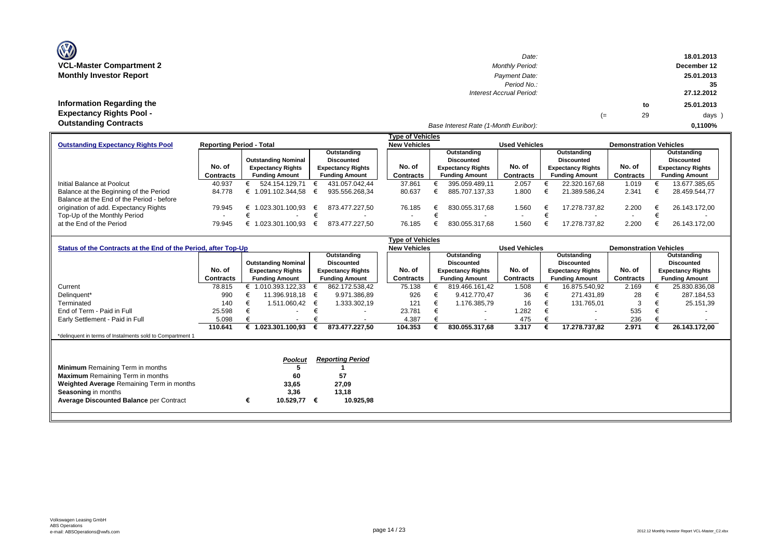| (V)                             |  |
|---------------------------------|--|
| <b>VCL-Master Compartment 2</b> |  |
| <b>Monthly Investor Report</b>  |  |
|                                 |  |

| $\mathbf{w}$                    | Date:                                 |    |    | 18.01.2013  |
|---------------------------------|---------------------------------------|----|----|-------------|
| VCL-Master Compartment 2        | <b>Monthly Period:</b>                |    |    | December 12 |
| <b>Monthly Investor Report</b>  | Payment Date:                         |    |    | 25.01.2013  |
|                                 | Period No.:                           |    |    | 35          |
|                                 | Interest Accrual Period:              |    |    | 27.12.2012  |
| Information Regarding the       |                                       |    | to | 25.01.2013  |
| <b>Expectancy Rights Pool -</b> |                                       | (≕ | 29 | days )      |
| <b>Outstanding Contracts</b>    | Base Interest Rate (1-Month Euribor): |    |    | 0.1100%     |

|                                                                              |           |                            |  |                          |  | <b>Type of Vehicles</b> |                       |                          |                      |                       |                          |                               |                       |                          |  |
|------------------------------------------------------------------------------|-----------|----------------------------|--|--------------------------|--|-------------------------|-----------------------|--------------------------|----------------------|-----------------------|--------------------------|-------------------------------|-----------------------|--------------------------|--|
| <b>Reporting Period - Total</b><br><b>Outstanding Expectancy Rights Pool</b> |           |                            |  |                          |  |                         | <b>New Vehicles</b>   |                          | <b>Used Vehicles</b> |                       |                          | <b>Demonstration Vehicles</b> |                       |                          |  |
|                                                                              |           |                            |  | Outstanding              |  |                         |                       | Outstanding              |                      | Outstanding           |                          |                               |                       | Outstanding              |  |
|                                                                              |           | <b>Outstanding Nominal</b> |  | Discounted               |  |                         | Discounted            |                          |                      |                       | <b>Discounted</b>        |                               |                       | <b>Discounted</b>        |  |
|                                                                              | No. of    | <b>Expectancy Rights</b>   |  | <b>Expectancy Rights</b> |  | No. of                  |                       | <b>Expectancy Rights</b> | No. of               |                       | <b>Expectancy Rights</b> | No. of                        |                       | <b>Expectancy Rights</b> |  |
|                                                                              | Contracts | <b>Funding Amount</b>      |  | <b>Funding Amount</b>    |  | Contracts               | <b>Funding Amount</b> |                          | <b>Contracts</b>     | <b>Funding Amount</b> |                          | <b>Contracts</b>              | <b>Funding Amount</b> |                          |  |
| Initial Balance at Poolcut                                                   | 40.937    | 524.154.129.71             |  | 431.057.042.44           |  | 37.861                  |                       | 395.059.489.11           | 2.057                |                       | 22.320.167.68            | 1.019                         |                       | 13.677.385,65            |  |
| Balance at the Beginning of the Period                                       | 84.778    | .091.102.344.58            |  | 935.556.268.34           |  | 80.637                  |                       | 885.707.137.33           | 1.800                |                       | 21.389.586.24            | 2.341                         |                       | 28.459.544,77            |  |
| Balance at the End of the Period - before                                    |           |                            |  |                          |  |                         |                       |                          |                      |                       |                          |                               |                       |                          |  |
| origination of add. Expectancy Rights                                        | 79.945    | 1.023.301.100.93           |  | 873.477.227.50           |  | 76.185                  |                       | 830.055.317.68           | 1.560                |                       | 17.278.737.82            | 2.200                         | €                     | 26.143.172.00            |  |
| Top-Up of the Monthly Period                                                 |           |                            |  |                          |  |                         |                       |                          |                      |                       | $\overline{\phantom{a}}$ |                               |                       |                          |  |
| at the End of the Period                                                     | 79.945    | .023.301.100.93            |  | 873.477.227.50           |  | 76.185                  |                       | 830.055.317.68           | 1.560                |                       | 17.278.737.82            | 2.200                         |                       | 26.143.172.00            |  |

|                                                                |             | <b>Type of Vehicles</b> |                            |                          |                         |                     |                          |                      |                          |                               |           |             |                          |
|----------------------------------------------------------------|-------------|-------------------------|----------------------------|--------------------------|-------------------------|---------------------|--------------------------|----------------------|--------------------------|-------------------------------|-----------|-------------|--------------------------|
| Status of the Contracts at the End of the Period, after Top-Up |             |                         |                            |                          |                         | <b>New Vehicles</b> |                          | <b>Used Vehicles</b> |                          | <b>Demonstration Vehicles</b> |           |             |                          |
|                                                                | Outstanding |                         |                            |                          |                         | Outstanding         |                          | Outstanding          |                          |                               |           | Outstanding |                          |
|                                                                |             |                         | <b>Outstanding Nominal</b> |                          | <b>Discounted</b>       |                     | <b>Discounted</b>        |                      | <b>Discounted</b>        |                               |           |             | <b>Discounted</b>        |
|                                                                | No. of      |                         | <b>Expectancy Rights</b>   | <b>Expectancy Rights</b> |                         | No. of              | <b>Expectancy Rights</b> | No. of               | <b>Expectancy Rights</b> |                               | No. of    |             | <b>Expectancy Rights</b> |
|                                                                | Contracts   |                         | <b>Funding Amount</b>      |                          | <b>Funding Amount</b>   | Contracts           | <b>Funding Amount</b>    | Contracts            | <b>Funding Amount</b>    |                               | Contracts |             | <b>Funding Amount</b>    |
| Current                                                        | 78.815      |                         | 1.010.393.122,33           |                          | 862.172.538,42          | 75.138              | 819.466.161.42           | 1.508                |                          | 16.875.540,92                 | 2.169     |             | 25.830.836,08            |
| Delinquent*                                                    | 990         |                         | 11.396.918,18              | €                        | 9.971.386,89            | 926                 | 9.412.770.47             | 36                   |                          | 271.431,89                    | 28        |             | 287.184,53               |
| Terminated                                                     | 140         |                         | 1.511.060,42               | €                        | 1.333.302,19            | 121                 | 1.176.385,79             | 16                   |                          | 131.765,01                    | 3         |             | 25.151,39                |
| End of Term - Paid in Full                                     | 25.598      |                         | $\overline{\phantom{0}}$   |                          |                         | 23.781              |                          | .282                 |                          | $\overline{\phantom{a}}$      | 535       |             |                          |
| Early Settlement - Paid in Full                                | 5.098       |                         | $\overline{\phantom{a}}$   |                          |                         | 4.387               | $\overline{\phantom{a}}$ | 475                  |                          | $\overline{\phantom{a}}$      | 236       |             |                          |
|                                                                | 110.641     |                         | 1.023.301.100,93           |                          | 873.477.227,50          | 104.353             | 830.055.317,68           | 3.317                |                          | 17.278.737,82                 | 2.971     |             | 26.143.172,00            |
| *delinquent in terms of Instalments sold to Compartment 1      |             |                         |                            |                          |                         |                     |                          |                      |                          |                               |           |             |                          |
|                                                                |             |                         |                            |                          |                         |                     |                          |                      |                          |                               |           |             |                          |
|                                                                |             |                         |                            |                          |                         |                     |                          |                      |                          |                               |           |             |                          |
|                                                                |             |                         | <b>Poolcut</b>             |                          | <b>Reporting Period</b> |                     |                          |                      |                          |                               |           |             |                          |
| <b>Minimum</b> Remaining Term in months                        |             |                         |                            |                          |                         |                     |                          |                      |                          |                               |           |             |                          |
| <b>Maximum</b> Remaining Term in months                        |             |                         | 60                         |                          | 57                      |                     |                          |                      |                          |                               |           |             |                          |
| Weighted Average Remaining Term in months                      |             |                         | 33,65                      |                          | 27,09                   |                     |                          |                      |                          |                               |           |             |                          |
| <b>Seasoning in months</b>                                     |             |                         | 3,36                       |                          | 13,18                   |                     |                          |                      |                          |                               |           |             |                          |
| <b>Average Discounted Balance per Contract</b>                 |             |                         | 10.529,77                  | €                        | 10.925,98               |                     |                          |                      |                          |                               |           |             |                          |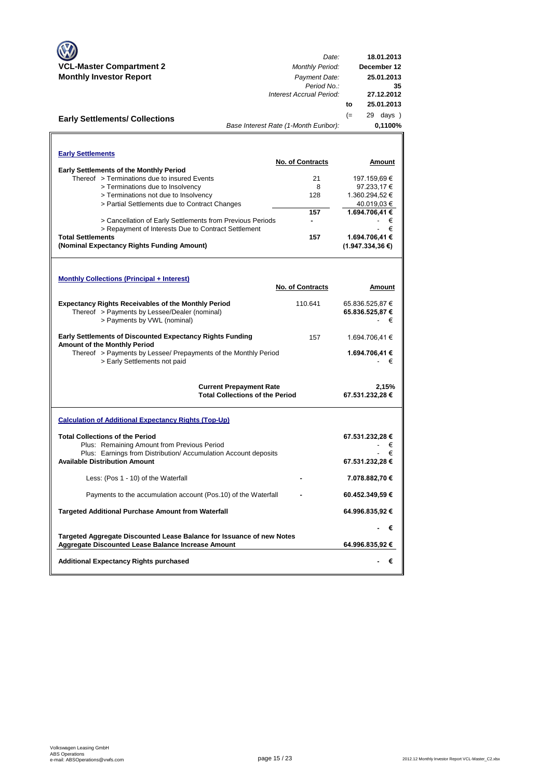|                                                                       | Date:                                  | 18.01.2013          |
|-----------------------------------------------------------------------|----------------------------------------|---------------------|
| <b>VCL-Master Compartment 2</b>                                       | <b>Monthly Period:</b>                 | December 12         |
| <b>Monthly Investor Report</b>                                        | Payment Date:<br>Period No.:           | 25.01.2013<br>35    |
|                                                                       | Interest Accrual Period:               | 27.12.2012          |
|                                                                       |                                        | 25.01.2013<br>to    |
| <b>Early Settlements/ Collections</b>                                 |                                        | $(=$<br>29 days)    |
|                                                                       | Base Interest Rate (1-Month Euribor):  | 0,1100%             |
|                                                                       |                                        |                     |
| <b>Early Settlements</b>                                              |                                        |                     |
|                                                                       | <b>No. of Contracts</b>                | Amount              |
| <b>Early Settlements of the Monthly Period</b>                        |                                        |                     |
| Thereof > Terminations due to insured Events                          | 21                                     | 197.159,69 €        |
| > Terminations due to Insolvency                                      | 8                                      | 97.233,17€          |
| > Terminations not due to Insolvency                                  | 128                                    | 1.360.294,52 €      |
| > Partial Settlements due to Contract Changes                         |                                        | 40.019,03 €         |
|                                                                       | 157                                    | 1.694.706,41 €      |
| > Cancellation of Early Settlements from Previous Periods             |                                        | €                   |
| > Repayment of Interests Due to Contract Settlement                   |                                        | €                   |
| <b>Total Settlements</b>                                              | 157                                    | 1.694.706,41 €      |
| (Nominal Expectancy Rights Funding Amount)                            |                                        | $(1.947.334.36)$ €) |
|                                                                       |                                        |                     |
|                                                                       |                                        |                     |
| <b>Monthly Collections (Principal + Interest)</b>                     |                                        |                     |
|                                                                       | <b>No. of Contracts</b>                | Amount              |
| <b>Expectancy Rights Receivables of the Monthly Period</b>            | 110.641                                | 65.836.525,87 €     |
| Thereof > Payments by Lessee/Dealer (nominal)                         |                                        | 65.836.525,87 €     |
| > Payments by VWL (nominal)                                           |                                        | €                   |
| <b>Early Settlements of Discounted Expectancy Rights Funding</b>      | 157                                    |                     |
| Amount of the Monthly Period                                          |                                        | 1.694.706,41 €      |
| Thereof > Payments by Lessee/ Prepayments of the Monthly Period       |                                        | 1.694.706,41 €      |
| > Early Settlements not paid                                          |                                        | €                   |
|                                                                       |                                        |                     |
|                                                                       | <b>Current Prepayment Rate</b>         | 2,15%               |
|                                                                       | <b>Total Collections of the Period</b> | 67.531.232,28 €     |
|                                                                       |                                        |                     |
| <b>Calculation of Additional Expectancy Rights (Top-Up)</b>           |                                        |                     |
|                                                                       |                                        |                     |
| <b>Total Collections of the Period</b>                                |                                        | 67.531.232,28 €     |
| Plus: Remaining Amount from Previous Period                           |                                        | €                   |
| Plus: Earnings from Distribution/ Accumulation Account deposits       |                                        | €                   |
| <b>Available Distribution Amount</b>                                  |                                        | 67.531.232,28 €     |
| Less: (Pos 1 - 10) of the Waterfall                                   |                                        | 7.078.882,70 €      |
|                                                                       |                                        |                     |
| Payments to the accumulation account (Pos.10) of the Waterfall        |                                        | 60.452.349,59 €     |
| <b>Targeted Additional Purchase Amount from Waterfall</b>             |                                        | 64.996.835,92 €     |
|                                                                       |                                        | €                   |
| Targeted Aggregate Discounted Lease Balance for Issuance of new Notes |                                        |                     |
| Aggregate Discounted Lease Balance Increase Amount                    |                                        | 64.996.835,92 €     |
| <b>Additional Expectancy Rights purchased</b>                         |                                        | €                   |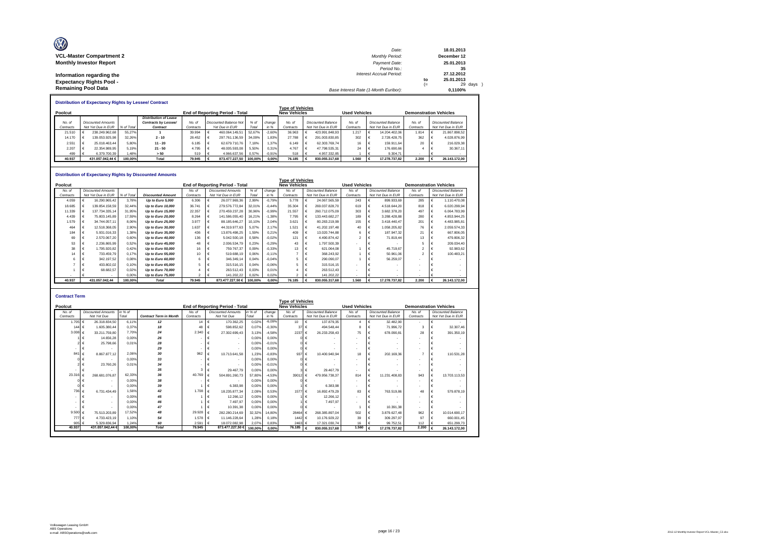| O<br><b>VCL-Master Compartment 2</b> | Date:<br><b>Monthly Period:</b>       |      | 18.01.2013<br>December 12 |
|--------------------------------------|---------------------------------------|------|---------------------------|
| <b>Monthly Investor Report</b>       | Payment Date:                         |      | 25.01.2013                |
|                                      | Period No.:                           |      | 35                        |
| Information regarding the            | <b>Interest Accrual Period:</b>       |      | 27.12.2012                |
| <b>Expectancy Rights Pool -</b>      |                                       | to   | 25.01.2013                |
|                                      |                                       | $(=$ | 29 days                   |
| <b>Remaining Pool Data</b>           | Base Interest Rate (1-Month Euribor): |      | 0.1100%                   |

| <b>Distribution of Expectancy Rights by Lessee/ Contract</b> |  |                    |            |                              |           |                                                               |                               |        |          |                         |  |                           |                                                       |  |                           |           |  |                           |  |
|--------------------------------------------------------------|--|--------------------|------------|------------------------------|-----------|---------------------------------------------------------------|-------------------------------|--------|----------|-------------------------|--|---------------------------|-------------------------------------------------------|--|---------------------------|-----------|--|---------------------------|--|
|                                                              |  |                    |            |                              |           |                                                               |                               |        |          | <b>Type of Vehicles</b> |  |                           |                                                       |  |                           |           |  |                           |  |
| Poolcut                                                      |  |                    |            |                              |           | <b>New Vehicles</b><br><b>End of Reporting Period - Total</b> |                               |        |          |                         |  |                           | <b>Used Vehicles</b><br><b>Demonstration Vehicles</b> |  |                           |           |  |                           |  |
|                                                              |  |                    |            | <b>Distribution of Lease</b> |           |                                                               |                               |        |          |                         |  |                           |                                                       |  |                           |           |  |                           |  |
| No. of                                                       |  | Discounted Amounts |            | Contracts by Lessee/         | No at     |                                                               | <b>Discounted Balance Not</b> | % of   | change   | No. of                  |  | <b>Discounted Balance</b> | No. of                                                |  | <b>Discounted Balance</b> | No. of    |  | <b>Discounted Balance</b> |  |
| Contracts                                                    |  | Not Yet Due in EUR | % of Total | Contract                     | Contracts |                                                               | Yet Due in EUR                | Total  | $in$ %   | Contracts               |  | Not Yet Due in EUR        | Contracts                                             |  | Not Yet Due in EUR        | Contracts |  | Not Yet Due in EUR        |  |
| 21.510                                                       |  | 238.249.962.68     | 55.27%     |                              | 39.994    |                                                               | 460.064.149.51                | 52.67% | $-2.60%$ | 36.963                  |  | 423.991.848.93            | 1.217                                                 |  | 14.204.402.06             | 1.814     |  | 21.867.898.52             |  |
| 14.170                                                       |  | 139.053.925.98     | 32.26%     | $2 - 10$                     | 28.452    |                                                               | 297.761.136.59                | 34.09% | 1.83%    | 27.788                  |  | 291.003.830.85            | 302                                                   |  | 2.728.428.75              | 362       |  | 4.028.876.99              |  |
| 2.551                                                        |  | 25.018.463.44      | 5.80%      | $11 - 20$                    | 6.185     |                                                               | 62.679.710.76                 | 7.18%  | 1.37%    | 6.149                   |  | 62.303.769.74             | 16                                                    |  | 159,911.64                | 20        |  | 216.029.38                |  |
| 2.207                                                        |  | 22.354.989.95      | 5.19%      | $21 - 50$                    | 4.795     |                                                               | 48.005.593.08                 | 5.50%  | 0.31%    | 4.767                   |  | 47.798.535.31             | 24                                                    |  | 176,690.66                |           |  | 30,367.11                 |  |
| 499                                                          |  | 6.379.700.39       | .48%       | > 50                         | 519       |                                                               | 4.966.637.56                  | 0.57%  | $-0.91%$ | 518                     |  | 4.957.332.85              |                                                       |  | 9.304.71                  |           |  |                           |  |
| 40.937                                                       |  | 431.057.042.44 €   | 100.00%    | Total                        | 79.945    |                                                               | 873.477.227.50 100.00%        |        | $0.00\%$ | 76.185                  |  | 830.055.317.68            | 1.560                                                 |  | 17.278.737.82             | 2.200     |  | 26.143.172.00             |  |

#### **Distribution of Expectancy Rights by Discounted Amounts**

|           |                           |            | Distribution of Expectancy Rights by Discounted Amounts |           |   |                                        |         |          |                         |                           |                      |                           |                               |                           |
|-----------|---------------------------|------------|---------------------------------------------------------|-----------|---|----------------------------------------|---------|----------|-------------------------|---------------------------|----------------------|---------------------------|-------------------------------|---------------------------|
|           |                           |            |                                                         |           |   |                                        |         |          | <b>Type of Vehicles</b> |                           |                      |                           |                               |                           |
| Poolcut   |                           |            |                                                         |           |   | <b>End of Reporting Period - Total</b> |         |          | <b>New Vehicles</b>     |                           | <b>Used Vehicles</b> |                           | <b>Demonstration Vehicles</b> |                           |
| No. of    | <b>Discounted Amounts</b> |            |                                                         | No. of    |   | <b>Discounted Amounts</b>              | % of    | change   | No. of                  | <b>Discounted Balance</b> | No. of               | <b>Discounted Balance</b> | No. of                        | <b>Discounted Balance</b> |
| Contracts | Not Yet Due in EUR        | % of Total | <b>Discounted Amount</b>                                | Contracts |   | Not Yet Due in EUR                     | Total   | in %     | Contracts               | Not Yet Due in EUR        | Contracts            | Not Yet Due in EUR        | Contracts                     | Not Yet Due in EUR        |
| 4.059     | 16.290.965.42             | 3.78%      | Up to Euro 5,000                                        | 6.306     |   | 26.077.969.36                          | 2.99%   | $-0,79%$ | 5.778                   | 24.067.565.59             | 243                  | 899.933.69                | 285                           | 1.110.470.08              |
| 18,685    | 139.854.158.59            | 32.44%     | Up to Euro 10,000                                       | 36.741    |   | 279.576.772.84                         | 32.01%  | $-0.44%$ | 35.304                  | 269.037.828.70            | 619                  | 4.518.644.20              | 818                           | 6.020.299.94              |
| 11.339    | 137.734.335.14            | 31,95%     | Up to Euro 15,000                                       | 22.357    |   | 270.459.237,28                         | 30,96%  | $-0,99%$ | 21.557                  | 260.712.075.09            | 303                  | 3.682.378.20              | 497                           | 6.064.783.99              |
| 4.439     | 75,803,145.89             | 17.59%     | Up to Euro 20,000                                       | 8.264     |   | 141.586.055.40                         | 16.21%  | $-1.38%$ | 7.795                   | 133.443.682.27            | 189                  | 3.288.428.88              | 280                           | 4.853.944.25              |
| 1.579     | 34.744.057.11             | 8.06%      | Up to Euro 25,000                                       | 3.977     |   | 88.185.646.27                          | 10.10%  | 2,04%    | 3.621                   | 80.283.219.99             | 155                  | 3.418.440.47              | 201                           | 4.483.985.81              |
| 464       | 12.518.368.05             | 2.90%      | Up to Euro 30,000                                       | 1.637     | € | 44.319.977.63                          | 5.07%   | 2.17%    | 1.521                   | 41.202.197.48             | 40                   | 1.058.205.82              | 76                            | 2.059.574.33              |
| 184       | 5.931.016.33              | 1.38%      | Up to Euro 35,000                                       | 436       | € | 13.876.498.25                          | 1.59%   | 0.21%    | 409                     | 13.020.744.88             | 6.                   | 187,947.32                | 21                            | 667,806.05                |
| 69        | 2.570.067.20              | 0,60%      | Up to Euro 40,000                                       | 136       |   | 5.042.500,18                           | 0.58%   | $-0.02%$ | 121                     | 4.490.874.42              |                      | 71.819,44                 | 13                            | 479.806,32                |
| 53        | 2.236.865.99              | 0,52%      | Up to Euro 45,000                                       | 48        |   | 2.006.534,79                           | 0,23%   | $-0,29%$ | 43                      | 1.797.500.39              |                      |                           |                               | 209.034,40                |
| 38        | 1.795.920,82              | 0,42%      | Up to Euro 50,000                                       | 16        |   | 759.767,37                             | 0.09%   | $-0,33%$ | 13                      | 621.064.08                |                      | 45.719.67                 |                               | 92.983,62                 |
| 14        | 733.459.79                | 0.17%      | Up to Euro 55,000                                       | 10        |   | 519,688.19                             | 0.06%   | $-0.11%$ |                         | 368.243.92                |                      | 50.961,06                 |                               | 100.483.21                |
|           | 342.197.52                | 0.08%      | Up to Euro 60,000                                       |           |   | 346.349,14                             | 0.04%   | $-0,04%$ |                         | 290.090.07                |                      | 56.259.07                 |                               |                           |
|           | 433.802.02                | 0.10%      | Up to Euro 65,000                                       |           |   | 315,516.15                             | 0.04%   | $-0.06%$ |                         | 315,516.15                |                      |                           |                               |                           |
|           | 68.682.57                 | 0.02%      | Up to Euro 70,000                                       |           |   | 263.512.43                             | 0.03%   | 0.01%    |                         | 263.512.43                |                      |                           |                               |                           |
|           |                           | 0.00%      | Up to Euro 75,000                                       | 2         |   | 141.202.22                             | 0.02%   | 0.02%    | $\mathcal{P}$           | 141.202.22                |                      |                           |                               |                           |
| 40.937    | 431.057.042.44            | 100.00%    | <b>Total</b>                                            | 79,945    |   | 873.477.227.50 €                       | 100.00% | 0.00%    | 76,185                  | 830.055.317.68            | 1.560                | 17.278.737.82             | 2.200                         | 26.143.172.00             |

| <b>Contract Term</b> |                           |         |                               |           |                                 |         |          |                         |                              |                          |                           |           |                               |
|----------------------|---------------------------|---------|-------------------------------|-----------|---------------------------------|---------|----------|-------------------------|------------------------------|--------------------------|---------------------------|-----------|-------------------------------|
|                      |                           |         |                               |           |                                 |         |          | <b>Type of Vehicles</b> |                              |                          |                           |           |                               |
| Poolcut              |                           |         |                               |           | End of Reporting Period - Total |         |          | <b>New Vehicles</b>     |                              | <b>Used Vehicles</b>     |                           |           | <b>Demonstration Vehicles</b> |
| No. of               | <b>Discounted Amounts</b> | in % of |                               | No. of    | <b>Discounted Amounts</b>       | in % of | change   | No. of                  | <b>Discounted Balance</b>    | No. of                   | <b>Discounted Balance</b> | No. of    | <b>Discounted Balance</b>     |
| Contracts            | Not Yet Due               | Total   | <b>Contract Term in Month</b> | Contracts | Not Yet Due                     | Total   | in %     | Contracts               | Not Yet Due in EUR           | Contracts                | Not Yet Due in EUR        | Contracts | Not Yet Due in EUR            |
| 1.705                | 26.318.834.50<br>€        | 6.11%   | 12                            | 14        | $\epsilon$<br>170,362.25        | 0.02%   | $-6.09%$ | 10                      | 137.879.35<br>€              | $\overline{a}$           | 32.482.90                 | $\sim$    |                               |
| 144                  | 1.605.380.44<br>€         | 0.37%   | 18                            | 48        | 598.852.62<br>€                 | 0.07%   | $-0.30%$ | 37                      | 494,548,44<br>$\epsilon$     | 8                        | 71.996.72                 |           | 32.307.46                     |
| 3.008                | 33.211.759.80             | 7.70%   | 24                            | 2.340     | $\epsilon$<br>27.302.699.43     | 3.13%   | $-4.58%$ | 2237                    | 26.233.258.43<br>$\epsilon$  | 75                       | 678.090.81                | 28        | 391.350.19                    |
|                      | 14,656.28                 | 0.00%   | 26                            |           |                                 | 0.00%   | 0.00%    | $0 \in$                 |                              | ٠                        |                           |           |                               |
|                      | 25,798.66                 | 0.01%   | 28                            |           | $\overline{\phantom{a}}$        | 0.00%   | $-0.01%$ |                         | $0 \in$                      | $\overline{\phantom{a}}$ |                           | $\sim$    |                               |
|                      |                           |         | 29                            |           | $\overline{\phantom{a}}$        | 0.00%   | 0.00%    |                         | $0 \in$                      | $\overline{\phantom{a}}$ |                           |           |                               |
| 841                  | 8.867.877.12              | 2.06%   | 30                            | 962       | 10.713.641.58<br>€              | 1.23%   | $-0.83%$ | 937                     | 10.400.940.94<br>$\epsilon$  | 18                       | 202.169.36                |           | 110.531.28                    |
|                      |                           | 0.00%   | 33                            |           |                                 | 0.00%   | 0.00%    | $0 \in$                 |                              |                          |                           |           |                               |
|                      | 23,760.26                 | 0.01%   | 34                            |           |                                 | 0.00%   | $-0.01%$ | $0 \in$                 |                              | $\sim$                   |                           |           |                               |
|                      |                           |         | 35                            |           | 29.467.79<br>€                  | 0.00%   | 0.00%    |                         | 29.467.79<br>$3 \in$         | $\tilde{\phantom{a}}$    |                           | $\sim$    |                               |
| 23.316               | 268.681.076.87            | 62.33%  | 36                            | 40.769    | 504.891.260.73                  | 57.80%  | $-4.53%$ | 39012 €                 | 479.956.738,37               | 814                      | 11.231.408.83             | 943       | 13.703.113.53                 |
|                      | $\overline{\phantom{a}}$  | 0.00%   | 38                            |           | $\overline{\phantom{a}}$        | 0.00%   | 0.00%    |                         | $0 \in$<br>$\blacksquare$    | ٠                        | $\sim$                    | $\sim$    |                               |
|                      |                           | 0.00%   | 39                            |           | 6,383.98<br>€                   | 0.00%   | 0.00%    |                         | 6,383.98<br>$\vdash$         | $\overline{\phantom{a}}$ |                           | $\sim$    |                               |
| 736                  | €<br>6.731.434.49         | 1.56%   | 42                            | 1.708     | €<br>18.235.877.34              | 2.09%   | 0.53%    | 1577 €                  | 16.892.479.29                | 83                       | 763.519.86                | 48        | 579.878,19                    |
|                      |                           | 0.00%   | 45                            |           | 12.266.12<br>€                  | 0.00%   | 0.00%    |                         | 12.266.12<br>$\epsilon$      | $\overline{\phantom{a}}$ |                           |           |                               |
|                      | ٠                         | 0.00%   | 46                            |           | 7.497.97                        | 0.00%   | 0.00%    |                         | 7.497.97<br>∣€               | ٠                        |                           | $\sim$    |                               |
|                      |                           | 0.00%   | 47                            |           | 10.391.38                       | 0.00%   | 0.00%    |                         | $0 \in$                      |                          | 10.391.38                 |           |                               |
| 9.500                | 75.513.203.89             | 17.52%  | 48                            | 29,928    | 282.280.214.69<br>€             | 32.32%  | 14.80%   | 28464                   | 268.385.897.04<br>$\epsilon$ | 502                      | 3.879.627.48              | 962       | €<br>10.014.690.17            |
| 777                  | €<br>4.733.423.19         | 1.10%   | 54                            | 1.578     | $\epsilon$<br>11.146.228.64     | 1.28%   | 0.18%    | 1442 €                  | 10.176.929.22                | 39                       | 309.297.97                | 97        | 660.001.45                    |
| 905                  | 5.329.836.94              | 1.24%   | 60                            | 2.591     | 18.072.082.98<br>$\epsilon$     | 2.07%   | 0.83%    | 2463 €                  | 17.321.030.74                | 16                       | 99.752.51                 | 112       | 651.299.73<br>$\epsilon$      |
| 40.937               | 431.057.042.44 €          | 100,00% | <b>Total</b>                  | 79,945    | 873.477.227,50 €                | 100.00% | 0.00%    | 76.185                  | 830.055.317.68               | 1.560                    | 17.278.737.82             | 2.200     | 26.143.172,00                 |
|                      |                           |         |                               |           |                                 |         |          |                         |                              |                          |                           |           |                               |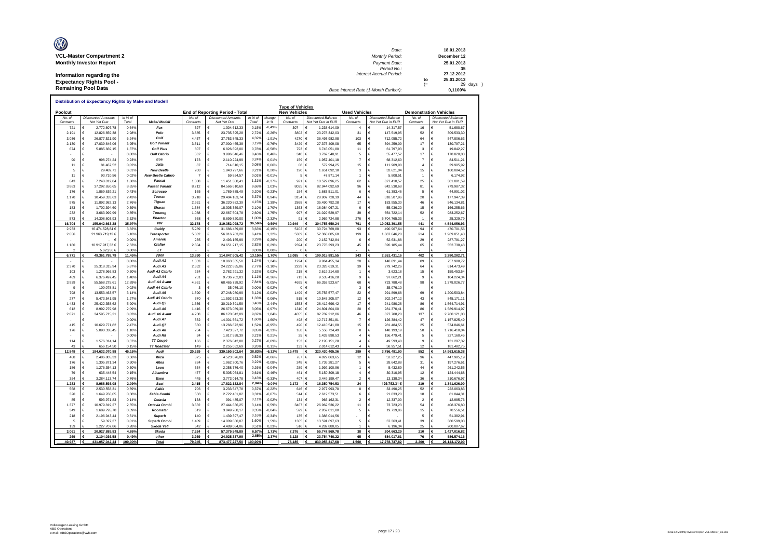| O<br><b>VCL-Master Compartment 2</b> | Date:<br><b>Monthly Period:</b>       |     | 18.01.2013<br>December 12 |
|--------------------------------------|---------------------------------------|-----|---------------------------|
| <b>Monthly Investor Report</b>       | Payment Date:                         |     | 25.01.2013                |
|                                      | Period No.:                           |     | 35                        |
| Information regarding the            | <b>Interest Accrual Period:</b>       |     | 27.12.2012                |
| <b>Expectancy Rights Pool -</b>      |                                       | to  | 25.01.2013                |
|                                      |                                       | $=$ | 29 days                   |
| <b>Remaining Pool Data</b>           | Base Interest Rate (1-Month Euribor): |     | 0.1100%                   |

| Poolcut<br>No a<br><b>Discounted Amounts</b><br>Contracts<br>Not Yet Due<br>€<br>721<br>2.191<br>€<br>3.036<br>€<br>2.130<br>€<br>674<br>€<br>€<br>90<br>$\epsilon$<br>€<br>11<br>$\epsilon$<br>5<br>11<br>€<br>643<br>€<br>3.883<br>€<br>€<br>176<br>1.170<br>€<br>€<br>975<br>183<br>€<br>€<br>232<br>€<br>573<br>16.704<br>€<br>155.042.663,28<br>2.933<br>16.474.528,84 €<br>2.656<br>21.963.719,12€<br>1.180<br>10.917.917,33 €<br>5.623,50 €<br>6.771<br>€<br>49.361.788,79<br>€<br>2.370<br>€<br>25.318.315.94<br>€<br>1.278.966,83<br>103<br>489<br>€<br>6.376.497,45<br>€<br>3.939<br>55.568.275,61<br>9<br>€<br>100.078,81<br>€<br>798<br>13.553.463,57<br>€<br>277<br>5.473.541,95<br>€<br>1.433<br>25.422.358,62<br>612<br>€<br>8.992.279,98<br>34.595.715,21<br>2.071<br>€<br>€<br>415<br>€<br>176<br>€<br>€<br>€<br>114<br>€<br>656 154 50<br>4 <sup>2</sup><br>12.849<br>488<br>€<br>176<br>€<br>186<br>€<br>79<br>€<br>354<br>€<br>1.283<br>568<br>€<br>320<br>€<br>85<br>€<br>€<br>1.377<br>€<br>349<br>218<br>€<br>$\in$<br>5 | in % of |                |                |                          |              | End of Reporting Period - Total |                   |                   | <b>Type of Vehicles</b><br><b>New Vehicles</b> |                           | <b>Used Vehicles</b>     |                               |                | <b>Demonstration Vehicles</b> |
|-------------------------------------------------------------------------------------------------------------------------------------------------------------------------------------------------------------------------------------------------------------------------------------------------------------------------------------------------------------------------------------------------------------------------------------------------------------------------------------------------------------------------------------------------------------------------------------------------------------------------------------------------------------------------------------------------------------------------------------------------------------------------------------------------------------------------------------------------------------------------------------------------------------------------------------------------------------------------------------------------------------------------------------------------|---------|----------------|----------------|--------------------------|--------------|---------------------------------|-------------------|-------------------|------------------------------------------------|---------------------------|--------------------------|-------------------------------|----------------|-------------------------------|
|                                                                                                                                                                                                                                                                                                                                                                                                                                                                                                                                                                                                                                                                                                                                                                                                                                                                                                                                                                                                                                                 |         |                |                |                          | No o         | <b>Discounted Amounts</b>       | in % of           | change            | No of                                          | <b>Discounted Balance</b> | No at                    | <b>Discounted Balance</b>     | No at          | <b>Discounted Balance</b>     |
|                                                                                                                                                                                                                                                                                                                                                                                                                                                                                                                                                                                                                                                                                                                                                                                                                                                                                                                                                                                                                                                 |         |                | Total          | Make/ Modell             | Contracts    | Not Yet Due                     | Total             | in %              | Contracts                                      | Not Yet Due in EUR        | Contracts                | Not Yet Due in EUR            | Contracts      | Not Yet Due in EUR            |
|                                                                                                                                                                                                                                                                                                                                                                                                                                                                                                                                                                                                                                                                                                                                                                                                                                                                                                                                                                                                                                                 |         | 2.772.607,78   | 0,649          | Fox                      | 327          | 1.304.612,33                    | 0.15%             | $-0.49%$          | 307                                            | €<br>1.238.614,09         | 4                        | 14.317,57<br>€                | 16             | 51.680,67<br>€                |
|                                                                                                                                                                                                                                                                                                                                                                                                                                                                                                                                                                                                                                                                                                                                                                                                                                                                                                                                                                                                                                                 |         | 12.826.659,38  | 2,98%          | Polo                     | 3.885        | 23.735.395,28<br>€              | 2,72%             | $-0,26%$          | 3802                                           | €<br>23.278.342,03        | 31                       | 147.519,95<br>€               | 52             | €<br>309.533,30               |
|                                                                                                                                                                                                                                                                                                                                                                                                                                                                                                                                                                                                                                                                                                                                                                                                                                                                                                                                                                                                                                                 |         | 26.877.521,90  | 6,24%          | Golf                     | 4.437        | €<br>37.753.845,33              | 4.32%             | $-1,91%$          | 4270                                           | €<br>36.493.982,98        | 103                      | 712.055,72<br>€               | 64             | €<br>547.806,63               |
|                                                                                                                                                                                                                                                                                                                                                                                                                                                                                                                                                                                                                                                                                                                                                                                                                                                                                                                                                                                                                                                 |         | 17.039.646,06  | 3.95%          | <b>Golf Variant</b>      | 3.511        | €<br>27.900.465,38              | 3,19%             | $-0,76%$          | 3429                                           | €<br>27.375.409,08        | 65                       | €<br>394.259,09               | 17             | €<br>130.797,21               |
|                                                                                                                                                                                                                                                                                                                                                                                                                                                                                                                                                                                                                                                                                                                                                                                                                                                                                                                                                                                                                                                 |         | 5.885.669,15   | 1.379          | <b>Golf Plus</b>         | 807          | €<br>6.826.692,00               | 0.78%             | $-0,58%$          | 793                                            | €<br>6.745.051,80         | 11                       | €<br>61.797,93                | $\mathbf 3$    | €<br>19.842,27                |
|                                                                                                                                                                                                                                                                                                                                                                                                                                                                                                                                                                                                                                                                                                                                                                                                                                                                                                                                                                                                                                                 |         |                | 0.00%          | <b>Golf Cabrio</b>       | 362          | 3.996.846.46<br>€               | 0,46%             | 0.46%             | 340                                            | €<br>3.762.548,91         | 5                        | €<br>55.477.52                | 17             | €<br>178.820,03               |
|                                                                                                                                                                                                                                                                                                                                                                                                                                                                                                                                                                                                                                                                                                                                                                                                                                                                                                                                                                                                                                                 |         | 998.274,24     | 0.23%          | Eos                      | 173          | €<br>2.110.224,99               | 0.24%             | 0.01%             | 159                                            | €<br>1.957.401,18         | $\overline{7}$           | €<br>68.312,60                | $\overline{7}$ | €<br>84.511,21                |
|                                                                                                                                                                                                                                                                                                                                                                                                                                                                                                                                                                                                                                                                                                                                                                                                                                                                                                                                                                                                                                                 |         | 81.467,52      | 0.02%          | Jetta                    | 87           | 714.810,15<br>€                 | 0,08%             | 0.06%             | 68                                             | €<br>572 994 25           | 15                       | €<br>111.909,98               | $\overline{a}$ | €<br>29.905,92                |
|                                                                                                                                                                                                                                                                                                                                                                                                                                                                                                                                                                                                                                                                                                                                                                                                                                                                                                                                                                                                                                                 |         | 29.489,71      | 0.01%          | <b>New Beetle</b>        | 208          | 1.843.797,66<br>€               | 0,21%             | 0,20%             | 190                                            | €<br>1.651.092,10         | 3                        | 32.621,04<br>€                | 15             | €<br>160.084,52               |
|                                                                                                                                                                                                                                                                                                                                                                                                                                                                                                                                                                                                                                                                                                                                                                                                                                                                                                                                                                                                                                                 |         | 93.710,56      | 0,02%          | <b>New Beetle Cabrio</b> | 7            | €<br>59.854,57                  | 0,01%             | $-0,01%$          | 5                                              | €<br>47.871,14            | 1                        | €<br>5.808,51                 | $\overline{1}$ | €<br>6.174,92                 |
|                                                                                                                                                                                                                                                                                                                                                                                                                                                                                                                                                                                                                                                                                                                                                                                                                                                                                                                                                                                                                                                 |         | 7.248.012.84   | 1.68%          | Passat                   | 1.008        | €<br>11.451.308.41              | 1,31%             | $-0.37%$          | 921                                            | €<br>10.522.896.25        | 62                       | €<br>627.410.57               | 25             | €<br>301.001,59               |
|                                                                                                                                                                                                                                                                                                                                                                                                                                                                                                                                                                                                                                                                                                                                                                                                                                                                                                                                                                                                                                                 |         | 37.292.650,65  | 8,65%          | <b>Passat Variant</b>    | 8.212        | €<br>84.566.610,69              | 9,68%             | 1,03%             | 8035                                           | €<br>82.944.092,69        | 96                       | €<br>842.530,68               | 81             | €<br>779.987,32               |
|                                                                                                                                                                                                                                                                                                                                                                                                                                                                                                                                                                                                                                                                                                                                                                                                                                                                                                                                                                                                                                                 |         | 1.869.639,21   | 0.43%          | Scirocco                 | 165          | 1.789.885,49<br>€               | 0.20%             | $-0.23%$          | 154                                            | €<br>1 683 511 01         | 6                        | €<br>61.383.46                | $\overline{5}$ | €<br>44.991,02                |
|                                                                                                                                                                                                                                                                                                                                                                                                                                                                                                                                                                                                                                                                                                                                                                                                                                                                                                                                                                                                                                                 |         | 10.459.333,63  | 2,439          | Touran                   | 3.218        | €<br>29.404.183,74              | 3,37%             | 0,94%             | 3154                                           | €<br>28.907.728,39        | 44                       | €<br>318.507,96               | 20             | €<br>177.947,39               |
|                                                                                                                                                                                                                                                                                                                                                                                                                                                                                                                                                                                                                                                                                                                                                                                                                                                                                                                                                                                                                                                 |         | 11 892 982 13  | 2.76%          | Tiguan                   | 2.931        | €<br>36.220.882.39              | 4.15%             | 1.39%             | 2868                                           | €<br>35.490.792.28        | 17                       | €<br>183.955.30               | 46             | €<br>546.134,81               |
|                                                                                                                                                                                                                                                                                                                                                                                                                                                                                                                                                                                                                                                                                                                                                                                                                                                                                                                                                                                                                                                 |         | 1.702.394,60   | 0,39%          | Sharan                   | 1.384        | €<br>18.305.359,07              | 2.10%             | 1.70%             | 1363                                           | €<br>18.084.067,21        | 6                        | €<br>55.036,20                | 15             | €<br>166.255,66               |
|                                                                                                                                                                                                                                                                                                                                                                                                                                                                                                                                                                                                                                                                                                                                                                                                                                                                                                                                                                                                                                                 |         | 3.663.999.99   | 0.85%          | Touareg                  | 1.088        | €<br>22.667.504,78              | 2.60%             | 1.75%             | 997                                            | €<br>21.029.529.97        | 39                       | €<br>654.722.14               | 52             | €<br>983.252.67               |
|                                                                                                                                                                                                                                                                                                                                                                                                                                                                                                                                                                                                                                                                                                                                                                                                                                                                                                                                                                                                                                                 |         | 14.308.603,93  | 3,32%          | Phaeton                  | 368          | 8.699.820,00                    | 1.00%             | $-2,329$          | 91                                             | €<br>2.969.724,88         | 276                      | €<br>5.704.765,33             | $\mathbf{A}$   | €<br>25.329,79                |
|                                                                                                                                                                                                                                                                                                                                                                                                                                                                                                                                                                                                                                                                                                                                                                                                                                                                                                                                                                                                                                                 |         |                | 35.97%         | <b>VW</b>                | 32.178       | €<br>319.352.098.72             | 36.56%            | 0.59%             | 30.946                                         | 304.755.650,24<br>€       | 791                      | 10.052.391.55<br>€            | 441            | €<br>4.544.056,93             |
|                                                                                                                                                                                                                                                                                                                                                                                                                                                                                                                                                                                                                                                                                                                                                                                                                                                                                                                                                                                                                                                 |         |                | 3.82%          | Caddy                    | 5.289        | €<br>31.686.439,08              | 3,63%             | $-0,19%$          | 5102                                           | €<br>30.724.769,88        | 93                       | €<br>490.967,64               | 94             | €<br>470.701,56               |
|                                                                                                                                                                                                                                                                                                                                                                                                                                                                                                                                                                                                                                                                                                                                                                                                                                                                                                                                                                                                                                                 |         |                | 5.10%          | <b>Transporter</b>       | 5.802        | €<br>56.016.783,20              | 6,41%             | 1,32%             | 5389                                           | €<br>52,360,085.60        | 199                      | €<br>1.687.646,20             | 214            | €<br>1.969.051,40             |
|                                                                                                                                                                                                                                                                                                                                                                                                                                                                                                                                                                                                                                                                                                                                                                                                                                                                                                                                                                                                                                                 |         | - €            | 0,00%          | Amarok                   | 235          | €<br>2.493.165,99               | 0,29%             | 0,29%             | 200                                            | €<br>2.152.742,84         | 6                        | €<br>52.631,88                | 29             | €<br>287.791,27               |
|                                                                                                                                                                                                                                                                                                                                                                                                                                                                                                                                                                                                                                                                                                                                                                                                                                                                                                                                                                                                                                                 |         |                | 2,53%          | Crafter                  | 2.504        | €<br>24.651.217,15              | 2,82%             | 0,29%             | 2394                                           | €<br>23.778.293,23        | 45                       | €<br>320.185,44               | 65             | €<br>552.738,48               |
|                                                                                                                                                                                                                                                                                                                                                                                                                                                                                                                                                                                                                                                                                                                                                                                                                                                                                                                                                                                                                                                 |         |                | 0,00%          | LT                       |              |                                 | 0.00%             | 0,00%             |                                                |                           |                          |                               |                |                               |
|                                                                                                                                                                                                                                                                                                                                                                                                                                                                                                                                                                                                                                                                                                                                                                                                                                                                                                                                                                                                                                                 |         |                | 11,45%         | <b>VWN</b>               | 13.830       | 114.847.605,42                  | 13,15%            | 1,70%             | 13.085                                         | 109.015.891,55<br>€       | 343                      | 2.551.431,16<br>€             | 402            | 3.280.282,71<br>€             |
|                                                                                                                                                                                                                                                                                                                                                                                                                                                                                                                                                                                                                                                                                                                                                                                                                                                                                                                                                                                                                                                 |         |                | 0,00%          | Audi A1                  | 1.333        | 10.863.335,50<br>€              | 1,249             | 1,24%             | 1224                                           | €<br>9.964.455,34         | 20                       | €<br>140.891.44               | 89             | 757.988,72<br>€               |
|                                                                                                                                                                                                                                                                                                                                                                                                                                                                                                                                                                                                                                                                                                                                                                                                                                                                                                                                                                                                                                                 |         |                | 5.87%          | Audi A3                  | 2.332        | €<br>24.222.835.06              | 2,779             | $-3.10%$          | 2229                                           | €<br>23.328.619.31        | 39                       | €<br>279.742.26               | 64             | €<br>614.473.49               |
|                                                                                                                                                                                                                                                                                                                                                                                                                                                                                                                                                                                                                                                                                                                                                                                                                                                                                                                                                                                                                                                 |         |                | 0.30%          | Audi A3 Cabrio           | 234          | €<br>2.782.291,32               | 0,32%             | 0,02%             | 218                                            | €<br>2.619.214,60         | 1                        | €<br>3.623,18                 | 15             | €<br>159.453,54               |
|                                                                                                                                                                                                                                                                                                                                                                                                                                                                                                                                                                                                                                                                                                                                                                                                                                                                                                                                                                                                                                                 |         |                | 1 48%          | Audi A4                  | 731          | 9.736.702,83<br>€               | 1,119             | $-0,36%$          | 713                                            | €<br>9.535.416.28         | $\mathbf{Q}$             | €<br>97.062.21                | $\mathbf{Q}$   | €<br>104.224,34               |
|                                                                                                                                                                                                                                                                                                                                                                                                                                                                                                                                                                                                                                                                                                                                                                                                                                                                                                                                                                                                                                                 |         |                | 12.89%         | <b>Audi A4 Avant</b>     | 4.861        | €<br>68.465.738,92              | 7,84%             | $-5,05%$          | 4695                                           | €<br>66.353.923,67        | 68                       | €<br>733.788,48               | 98             | $\in$<br>1.378.026,77         |
|                                                                                                                                                                                                                                                                                                                                                                                                                                                                                                                                                                                                                                                                                                                                                                                                                                                                                                                                                                                                                                                 |         |                | 0.029          | Audi A4 Cabrio           | 3            | €<br>35.076,10                  | 0,00%             | $-0.02%$          |                                                | €                         | 3                        | €<br>35.076,10                |                | €                             |
|                                                                                                                                                                                                                                                                                                                                                                                                                                                                                                                                                                                                                                                                                                                                                                                                                                                                                                                                                                                                                                                 |         |                |                | Audi A5                  |              | €                               | 3,12%             | $-0.02%$          |                                                | €                         |                          | €                             |                |                               |
|                                                                                                                                                                                                                                                                                                                                                                                                                                                                                                                                                                                                                                                                                                                                                                                                                                                                                                                                                                                                                                                 |         |                | 3,14%          | Audi A5 Cabrio           | 1.590        | 27.248.980,99<br>€              | 1,33%             |                   | 1499                                           | 25.756.577,47             | 22                       | 291.899,68<br>€               | 69<br>43       | €<br>1.200.503,84             |
|                                                                                                                                                                                                                                                                                                                                                                                                                                                                                                                                                                                                                                                                                                                                                                                                                                                                                                                                                                                                                                                 |         |                | 1,279<br>5.90% | Audi Q5                  | 570<br>1.656 | 11.592.623,30<br>€              | 3.46%             | 0,06%<br>$-2.44%$ | 515<br>1553                                    | €<br>10.545.205,07<br>€   | 12<br>17                 | 202.247,12<br>€<br>241.980.26 |                | €<br>845.171,11<br>€          |
|                                                                                                                                                                                                                                                                                                                                                                                                                                                                                                                                                                                                                                                                                                                                                                                                                                                                                                                                                                                                                                                 |         |                |                |                          |              | 30.219.391,59                   |                   |                   |                                                | 28.412.696,42             |                          |                               | 86             | 1.564.714,91                  |
|                                                                                                                                                                                                                                                                                                                                                                                                                                                                                                                                                                                                                                                                                                                                                                                                                                                                                                                                                                                                                                                 |         |                | 2,09%          | Audi A6<br>Audi A6 Avant | 1.416        | €<br>26.673.089,38              | 3,05%<br>9.87%    | 0,97%             | 1310                                           | €<br>24.801.804,00        | 20                       | €<br>281.370,41               | 86             | €<br>1.589.914,97             |
|                                                                                                                                                                                                                                                                                                                                                                                                                                                                                                                                                                                                                                                                                                                                                                                                                                                                                                                                                                                                                                                 |         |                | 8,03%          |                          | 4.238        | €<br>86.170.042,09              |                   | 1,84%             | 4055                                           | €<br>82.782.212,86        | 46                       | €<br>627.708,20               | 137            | €<br>2.760.121,03             |
|                                                                                                                                                                                                                                                                                                                                                                                                                                                                                                                                                                                                                                                                                                                                                                                                                                                                                                                                                                                                                                                 |         |                | 0,00%          | Audi A7                  | 552          | €<br>14.001.561,72              | 1,60%             | 1.60%             | 498                                            | €<br>12.717.351,81        | $\overline{7}$           | €<br>126.384,42               | 47             | €<br>1.157.825,49             |
|                                                                                                                                                                                                                                                                                                                                                                                                                                                                                                                                                                                                                                                                                                                                                                                                                                                                                                                                                                                                                                                 |         | 10.629.771,82  | 2.47%          | Audi Q7                  | 530          | €<br>13.266.872,96              | 1.52%             | $-0,95%$          | 490                                            | €<br>12.410.541,80        | 15                       | €<br>281.484,55               | 25             | €<br>574.846,61               |
|                                                                                                                                                                                                                                                                                                                                                                                                                                                                                                                                                                                                                                                                                                                                                                                                                                                                                                                                                                                                                                                 |         | 5.090.336,45   | 1,189          | Audi A8                  | 234          | €<br>7.423.327,72               | 0,85%             | $-0,33%$          | 168                                            | €<br>5.558.724,49         | 8                        | €<br>148.193,19               | 58             | €<br>1.716.410,04             |
|                                                                                                                                                                                                                                                                                                                                                                                                                                                                                                                                                                                                                                                                                                                                                                                                                                                                                                                                                                                                                                                 |         |                | 0.00%          | Audi R8                  | 34           | €<br>1.817.538,39               | 0.21%             | 0,21%             | 25                                             | €<br>1.433.898,53         | $\ddot{4}$               | €<br>156.479,41               | 5              | $\in$<br>227.160,45           |
|                                                                                                                                                                                                                                                                                                                                                                                                                                                                                                                                                                                                                                                                                                                                                                                                                                                                                                                                                                                                                                                 |         | 1.576.314,14   | 0.37%          | <b>TT Coupé</b>          | 166          | €<br>2.376.042,08               | 0,27%             | $-0.09%$          | 153                                            | €<br>2.195.151,28         | 4                        | €<br>49.593,48                | 9              | €<br>131.297,32               |
|                                                                                                                                                                                                                                                                                                                                                                                                                                                                                                                                                                                                                                                                                                                                                                                                                                                                                                                                                                                                                                                 |         |                | 0.15%          | <b>TT Roadster</b>       | 149          | 2.255.052,69                    | 0.26%             | 0.11%             | 133                                            | 2.014.612.43              |                          | 58.957.51                     | 12             | €<br>181.482.75               |
|                                                                                                                                                                                                                                                                                                                                                                                                                                                                                                                                                                                                                                                                                                                                                                                                                                                                                                                                                                                                                                                 |         | 194.632.070,88 | 45.15%         | Audi                     | 20.629       | 339.150.502,64                  | 38,83%            | $-6,32%$          | 19.478                                         | 320.430.405,36            | 299                      | 3.756.481,90                  | 852            | €<br>14.963.615,38            |
|                                                                                                                                                                                                                                                                                                                                                                                                                                                                                                                                                                                                                                                                                                                                                                                                                                                                                                                                                                                                                                                 |         | 2.486.805,33   | 0.58%          | Ibiza                    | 875          | €<br>4.523.076,09               | 0,52%             | $-0,06%$          | 767                                            | €<br>4.022.863,65         | 12                       | 52.227,25<br>€                | 96             | €<br>447.985,19               |
|                                                                                                                                                                                                                                                                                                                                                                                                                                                                                                                                                                                                                                                                                                                                                                                                                                                                                                                                                                                                                                                 |         | 1.305.871,34   | 0,30%          | Altea                    | 284          | €<br>1.962.200,76               | 0,22%             | $-0,08%$          | 248                                            | €<br>1.736.281,27         | 5                        | €<br>28.642,88                | 31             | €<br>197.276,61               |
|                                                                                                                                                                                                                                                                                                                                                                                                                                                                                                                                                                                                                                                                                                                                                                                                                                                                                                                                                                                                                                                 |         | 1.276.354.13   | 0.30%          | Leon                     | 334          | €<br>2.258.776.40               | 0,26%             | $-0.04%$          | 289                                            | €<br>1.992.100.96         | 1                        | €<br>5.432.89                 | 44             | €<br>261.242.55               |
|                                                                                                                                                                                                                                                                                                                                                                                                                                                                                                                                                                                                                                                                                                                                                                                                                                                                                                                                                                                                                                                 |         | 635.448,54     | 0,15%          | Alhambra                 | 477          | €<br>5.305.064,81               | 0,61%             | 0,46%             | 461                                            | €<br>5.150.309,18         | $\overline{4}$           | €<br>30.310,95                | 12             | €<br>124.444,68               |
|                                                                                                                                                                                                                                                                                                                                                                                                                                                                                                                                                                                                                                                                                                                                                                                                                                                                                                                                                                                                                                                 |         | 3.284.113.74   | 0.76%          | Exeo                     | 445          | 3.773.014.78                    | 0.43%             | $-0.33%$          | 407                                            | 3.449.199.47              | $\overline{\phantom{a}}$ | 13.138.34                     | 36             | €<br>310.676.97               |
|                                                                                                                                                                                                                                                                                                                                                                                                                                                                                                                                                                                                                                                                                                                                                                                                                                                                                                                                                                                                                                                 |         | 8.988.593,08   | 2,09%          | Seat                     | 2.415        | 17.822.132,84                   | 2,04%             | $-0.04%$          | 2.172                                          | 16.350.754,53             | 24                       | 129.752,31 €                  | 219            | €<br>1.341.626,00             |
|                                                                                                                                                                                                                                                                                                                                                                                                                                                                                                                                                                                                                                                                                                                                                                                                                                                                                                                                                                                                                                                 |         | 2 530 558 31   | 0.59%          | Fabia                    | 706          | €<br>3 233 547 78               | 0.37%             | $-0.229$          | 646                                            | €<br>2.977.993,70         | 8                        | €<br>33 490 25                | 52             | $\epsilon$<br>222 063 83      |
|                                                                                                                                                                                                                                                                                                                                                                                                                                                                                                                                                                                                                                                                                                                                                                                                                                                                                                                                                                                                                                                 |         | 1.649.766,05   | 0,389          | <b>Fabia Combi</b>       | 538          | 2.722.451,02<br>€               | 0,31%             | $-0,07%$          | 514                                            | €<br>2.619.573,51         | 6                        | €<br>21.833,20                | 18             | €<br>81.044,31                |
|                                                                                                                                                                                                                                                                                                                                                                                                                                                                                                                                                                                                                                                                                                                                                                                                                                                                                                                                                                                                                                                 |         | 593.971.83     | 0.14%          | Octavia                  | 138          | €<br>991.485.07                 | 0,11%             | $-0.02%$          | 134                                            | €<br>966.162.31           | $\overline{z}$           | €<br>12.337.00                | $\overline{2}$ | €<br>12,985.76                |
|                                                                                                                                                                                                                                                                                                                                                                                                                                                                                                                                                                                                                                                                                                                                                                                                                                                                                                                                                                                                                                                 |         | 10.979.819,27  | 2.55%          | Octavia Combi            | 3.532        | €<br>27.444.636,25              | 3,14%             | 0,59%             | 3467                                           | €<br>26.962.536,22        | 11                       | €<br>73.723,23                | 54             | €<br>408.376,80               |
|                                                                                                                                                                                                                                                                                                                                                                                                                                                                                                                                                                                                                                                                                                                                                                                                                                                                                                                                                                                                                                                 |         | 1.689.795,70   | 0.39%          | Roomster                 | 619          | €<br>3.049.288,17               | 0,35%             | $-0.04%$          | 599                                            | €<br>2.959.011,80         | 5                        | €<br>19,719.86                | 15             | €<br>70.556,51                |
|                                                                                                                                                                                                                                                                                                                                                                                                                                                                                                                                                                                                                                                                                                                                                                                                                                                                                                                                                                                                                                                 |         | 2.196.943,44   | 0.51%          | <b>Superb</b>            | 140          | €<br>1.439.397,47               | 0,16%             | $-0,34%$          | 135                                            | €<br>1.388.014,56         |                          | €                             | 5              | €<br>51.382,91                |
|                                                                                                                                                                                                                                                                                                                                                                                                                                                                                                                                                                                                                                                                                                                                                                                                                                                                                                                                                                                                                                                 |         | 59.327,37      | 0.01%          | <b>Superb Combi</b>      | 1.409        | €<br>14.009.660,07              | 1,60%             | 1.59%             | 1365                                           | €<br>13.591.697,63        | 5                        | €<br>37.363,41                | 39             | $\in$<br>380.599,03           |
| 139<br>€                                                                                                                                                                                                                                                                                                                                                                                                                                                                                                                                                                                                                                                                                                                                                                                                                                                                                                                                                                                                                                        |         | 1.227.707,86   | 0,28%          | Skoda Yeti               | 542          | 4.489.084,06                    | 0.51%             | 0,23%             | 516                                            | 4.282.880,05              |                          | 6.196,34                      | 25             | €<br>200.007,67               |
| 3.061<br>€                                                                                                                                                                                                                                                                                                                                                                                                                                                                                                                                                                                                                                                                                                                                                                                                                                                                                                                                                                                                                                      |         | 20.927.889,83  | 4,86%          | Skoda                    | 7.624        | €<br>57.379.549,89              | 6,57%             | 1,71%             | 7.376                                          | 55.747.869,78<br>€        | 38                       | 204.663,29<br>€               | 210            | €<br>1.427.016,82             |
| 269<br>€                                                                                                                                                                                                                                                                                                                                                                                                                                                                                                                                                                                                                                                                                                                                                                                                                                                                                                                                                                                                                                        |         | 2.104.036.58   | 0.49%          | other                    | 3.269        | 24.925.337.99<br>€              | 2.85 <sup>°</sup> | 2.37%             | 3.128                                          | 23.754.746.22<br>€        | 65                       | 584.017.61<br>€               | 76             | 586.574.16<br>€               |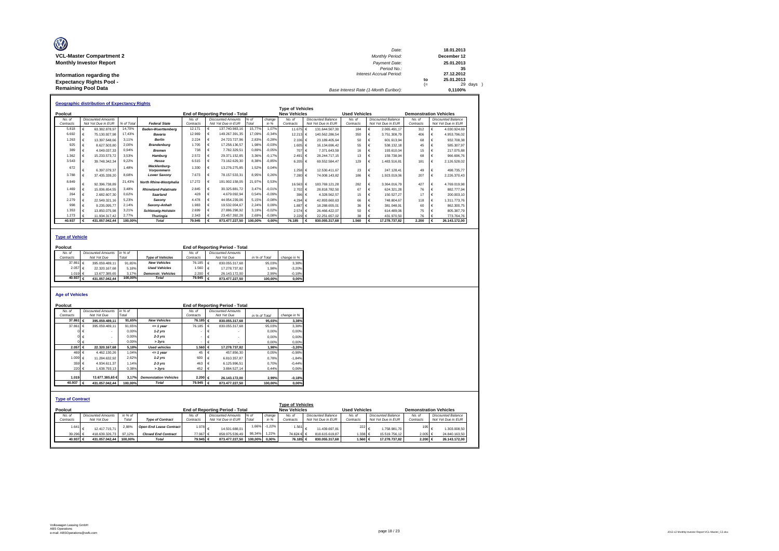| O                               | Date:                                 |     | 18.01.2013  |
|---------------------------------|---------------------------------------|-----|-------------|
| <b>VCL-Master Compartment 2</b> | <b>Monthly Period:</b>                |     | December 12 |
| <b>Monthly Investor Report</b>  | Payment Date:                         |     | 25.01.2013  |
|                                 | Period No.:                           |     | 35          |
| Information regarding the       | Interest Accrual Period:              |     | 27.12.2012  |
| <b>Expectancy Rights Pool -</b> |                                       | to  | 25.01.2013  |
|                                 |                                       | $=$ | 29 days     |
| <b>Remaining Pool Data</b>      | Base Interest Rate (1-Month Euribor): |     | 0.1100%     |

|           | <b>Geographic distribution of Expectancy Rights</b> |            |                                   |           |   |                                        |         |          |                         |      |                           |                      |   |                           |                               |                           |
|-----------|-----------------------------------------------------|------------|-----------------------------------|-----------|---|----------------------------------------|---------|----------|-------------------------|------|---------------------------|----------------------|---|---------------------------|-------------------------------|---------------------------|
|           |                                                     |            |                                   |           |   |                                        |         |          | <b>Type of Vehicles</b> |      |                           |                      |   |                           |                               |                           |
| Poolcut   |                                                     |            |                                   |           |   | <b>End of Reporting Period - Total</b> |         |          | <b>New Vehicles</b>     |      |                           | <b>Used Vehicles</b> |   |                           | <b>Demonstration Vehicles</b> |                           |
| No. of    | <b>Discounted Amounts</b>                           |            |                                   | No. of    |   | <b>Discounted Amounts</b>              | $%$ of  | change   | No. of                  |      | <b>Discounted Balance</b> | No. of               |   | <b>Discounted Balance</b> | No. of                        | <b>Discounted Balance</b> |
| Contracts | Not Yet Due in EUR                                  | % of Total | <b>Federal State</b>              | Contracts |   | Not Yet Due in EUR                     | Total   | in %     | Contracts               |      | Not Yet Due in EUR        | Contracts            |   | Not Yet Due in EUR        | Contracts                     | Not Yet Due in EUR        |
| 5.818     | 63.382.878.97                                       | 14,70%     | <b>Baden-Wuerttemberg</b>         | 12.171    | € | 137.740.983,16                         | 15,77%  | 1.07%    | 11.675 €                |      | 131.644.567.30            | 184                  |   | 2.065.491.17              | 312                           | 4.030.924.69              |
| 6.692     | 75.130.927.98                                       | 17.43%     | Bavaria                           | 12.969    |   | 149.267.391,35                         | 17.09%  | $-0.34%$ | 12.213 €                |      | 140.562.286.54            | 350                  |   | 3.751.308.79              | 406                           | 4.953.796.02              |
| 1.263     | 13.397.548.66                                       | 3.11%      | <b>Berlin</b>                     | 2.224     |   | 24.723.727.96                          | 2,83%   | $-0.28%$ | 2.106 €                 |      | 23.189.405.64             | 50                   |   | 601.613.94                | 68                            | 932.708.38                |
| 925       | 8.627.503.80                                        | 2,00%      | <b>Brandenburg</b>                | 1.705     |   | 17.258.136.57                          | 1.98%   | $-0.03%$ | 1.605 €                 |      | 16.134.696.42             | 55                   |   | 538.132.18                | 45                            | 585.307.97                |
| 389       | 4.049.037.33                                        | 0.94%      | <b>Bremen</b>                     | 738       |   | 7.782.329.51                           | 0.89%   | $-0.05%$ | 707                     |      | 7.371.643.59              | 16                   |   | 193,610.04                | 15                            | 217.075.88                |
| 1.362     | 15.233.573.72                                       | 3.53%      | Hamburg                           | 2.572     |   | 29.371.152.85                          | 3.36%   | $-0.17%$ | 2.491                   | II € | 28.244.717.15             | 13                   |   | 159,738.94                | 68                            | 966,696.76                |
| 3.543     | 39.748.342.34                                       | 9,22%      | Hesse                             | 6.515     |   | 73.162.629,30                          | 8,38%   | $-0,85%$ | 6.205 €                 |      | 69.552.584.47             | 129                  | € | 1.483.516.81              | 181                           | 2.126.528.02              |
| 672       | 6.397.079.37                                        | 1.48%      | Mecklenburg-<br><b>Vorpommern</b> | 1.330     | € | 13.276.275.85                          | 1,52%   | 0,04%    | 1.258 €                 |      | 12.530.411.67             | 23                   |   | 247.128.41                | 49                            | 498,735.77                |
| 3.788     | 37.435.339,20                                       | 8,68%      | <b>Lower Saxonv</b>               | 7.673     |   | 78.157.533.31                          | 8,95%   | 0.26%    | 7.280                   |      | 74.008.143.82             | 186                  | € | 1.923.019.06              | 207                           | 2.226.370.43              |
| 8.849     | 92.396.738.89                                       | 21,43%     | <b>North Rhine-Westphalia</b>     | 17.272    |   | 191.902.158.05                         | 21,97%  | 0.53%    | 16.563 €                |      | 183,769,121.28            | 282                  |   | 3.364.016.79              | 427                           | 4.769.019,98              |
| 1.469     | 15.006.654.55                                       | 3.48%      | <b>Rhineland-Palatinate</b>       | 2.845     |   | 30.325.881.72                          | 3.47%   | $-0.01%$ | 2.702 €                 |      | 28.818.782.50             | 67                   |   | 624.321.28                | 76                            | 882.777.94                |
| 264       | 2.682.607.30                                        | 0.62%      | Saarland                          | 428       |   | 4.679.092.94                           | 0,54%   | $-0.09%$ | 396 €                   |      | 4.328.562.57              | 15                   |   | 150.527.27                | 17                            | 200,003.10                |
| 2.279     | 22.549.321.16                                       | 5,23%      | Saxonv                            | 4.478     |   | 44.954.239.06                          | 5,15%   | $-0,08%$ | 4.294 €                 |      | 42.893.660.63             | 66                   |   | 748.804.67                | 118                           | 1.311.773.76              |
| 998       | 9.235.095.77                                        | 2,14%      | Saxony-Anhalt                     | 1.983     |   | 19,532,004.67                          | 2,24%   | 0.09%    | 1.887 €                 |      | 18.288.655.01             | 36                   |   | 381.048,91                | 60                            | 862.300,75                |
| 1.353     | 13.850.075.98                                       | 3.21%      | <b>Schleswig-Holstein</b>         | 2.699     |   | 27.886.298.92                          | 3.19%   | $-0.02%$ | 2.574 €                 |      | 26.466.422.07             | 50                   |   | 614.489.06                | 75                            | 805.387.79                |
| 1.273     | 11.934.317.42                                       | 2.77%      | <b>Thuringia</b>                  | 2.343     |   | 23.457.392.28                          | 2,69%   | $-0,08%$ | 2.229 €                 |      | 22.251.657,02             | 38                   |   | 431.970.50                | 76                            | 773.764,76                |
| 40.937    | 431.057.042.44                                      | 100.00%    | <b>Total</b>                      | 79.945    |   | 873.477.227.50                         | 100.00% | 0.00%    | 76.185                  |      | 830.055.317.68            | 1.560                | € | 17.278.737.82             | 2.200                         | 26.143.172.00             |

#### **Type of Vehicle**

| Poolcut |                   |                           |         |                           |                      | <b>End of Reporting Period - Total</b> |               |             |
|---------|-------------------|---------------------------|---------|---------------------------|----------------------|----------------------------------------|---------------|-------------|
| No. of  |                   | <b>Discounted Amounts</b> | in % of |                           | No of                | <b>Discounted Amounts</b>              |               |             |
|         | Contracts         | Not Yet Due               | Total   | <b>Type of Vehicles</b>   | Contracts            | Not Yet Due                            | in % of Total | change in % |
|         | 37.861 $\in$      | 395.059.489.11            | 91.65%  | <b>New Vehicles</b>       | 76.185 €             | 830.055.317.68                         | 95.03%        | 3.38%       |
|         | 2.057 €           | 22.320.167.68             | 5.18%   | <b>Used Vehicles</b>      | 1.560 E              | 17.278.737.82                          | 1.98%         | $-3.20%$    |
|         | 1.019 $\in$       | 13.677.385.65             | 3.17%   | <b>Demonstr.</b> Vehicles | $2.200 \text{ } \in$ | 26.143.172.00                          | 2.99%         | $-0.18%$    |
|         | 40.937 $\epsilon$ | 431.057.042.44            | 100.00% | <b>Total</b>              | 79.945 $\varepsilon$ | 873.477.227.50                         | 100.00%       | 0.00%       |

### **Age of Vehicles**

| Poolcut                 |                |                           |         |                                |               |    | <b>End of Reporting Period - Total</b> |               |          |                         |                    |                      |                    |           |                               |
|-------------------------|----------------|---------------------------|---------|--------------------------------|---------------|----|----------------------------------------|---------------|----------|-------------------------|--------------------|----------------------|--------------------|-----------|-------------------------------|
| No. of                  |                | <b>Discounted Amounts</b> | in % of |                                | No. of        |    | <b>Discounted Amounts</b>              |               |          |                         |                    |                      |                    |           |                               |
| Contracts               |                | Not Yet Due               | Total   |                                | Contracts     |    | Not Yet Due                            | in % of Total |          | change in %             |                    |                      |                    |           |                               |
|                         | 37,861 €       | 395.059.489.11            | 91.65%  | <b>New Vehicles</b>            | 76.185 €      |    | 830.055.317.68                         |               | 95.03%   | 3.38%                   |                    |                      |                    |           |                               |
|                         | 37,861 €       | 395.059.489.11            | 91.65%  | $= 1$ vear                     | 76.185        |    | 830.055.317.68                         |               | 95.03%   | 3.38%                   |                    |                      |                    |           |                               |
|                         | $0 \in$        |                           | 0.00%   | $1-2$ yrs                      |               |    |                                        |               | 0.00%    | 0,00%                   |                    |                      |                    |           |                               |
|                         | $0 \in$        |                           | 0.00%   | $2-3$ yrs                      |               |    |                                        |               | 0.00%    | 0.00%                   |                    |                      |                    |           |                               |
|                         | $0 \in$        |                           | 0.00%   | > 3yrs                         |               |    |                                        |               | 0.00%    | 0.00%                   |                    |                      |                    |           |                               |
|                         | 2.057 €        | 22.320.167.68             | 5.18%   | <b>Used vehicles</b>           | 1.560 €       |    | 17.278.737.82                          |               | 1.98%    | $-3.20%$                |                    |                      |                    |           |                               |
|                         | 469 $\epsilon$ | 4.462.130.26              | 1.04%   | $= 1$ vear                     | 45            |    | 457.856.30                             |               | 0.05%    | $-0.98%$                |                    |                      |                    |           |                               |
|                         | 1.009 €        | 11.284.632.92             | 2.62%   | $1-2$ vrs                      | 600           |    | 6.810.357.87                           |               | 0.78%    | $-1.84%$                |                    |                      |                    |           |                               |
|                         | 359 €          | 4.934.611.37              | 1.14%   | $2-3$ yrs                      | 463           |    | 6.125.996.51                           |               | 0.70%    | $-0.44%$                |                    |                      |                    |           |                               |
|                         | 220 €          | 1.638.793.13              | 0.38%   | > 3yrs                         | 452           |    | 3.884.527.14                           |               | 0.44%    | 0.06%                   |                    |                      |                    |           |                               |
|                         |                |                           |         |                                |               |    |                                        |               |          |                         |                    |                      |                    |           |                               |
| 1.019                   |                | 13.677.385,65 €           | 3.17%   | <b>Demonstation Vehicles</b>   | 2.200 €       |    | 26.143.172.00                          |               | 2,99%    | $-0,18%$                |                    |                      |                    |           |                               |
|                         | $40.937$ €     | 431.057.042.44            | 100.00% | <b>Total</b>                   | 79.945        | I€ | 873.477.227.50                         |               | 100.00%  | 0,00%                   |                    |                      |                    |           |                               |
|                         |                |                           |         |                                |               |    |                                        |               |          |                         |                    |                      |                    |           |                               |
|                         |                |                           |         |                                |               |    |                                        |               |          |                         |                    |                      |                    |           |                               |
| <b>Type of Contract</b> |                |                           |         |                                |               |    |                                        |               |          |                         |                    |                      |                    |           |                               |
|                         |                |                           |         |                                |               |    |                                        |               |          | <b>Type of Vehicles</b> |                    |                      |                    |           |                               |
| Poolcut                 |                |                           |         |                                |               |    | End of Reporting Period - Total        |               |          | <b>New Vehicles</b>     |                    | <b>Used Vehicles</b> |                    |           | <b>Demonstration Vehicles</b> |
| No. of                  |                | <b>Discounted Amounts</b> | in % of |                                | No. of        |    | <b>Discounted Amounts</b>              | % of          | change   | No. of                  | Discounted Balance | No. of               | Discounted Balance | No of     | <b>Discounted Balance</b>     |
| Contracts               |                | Not Yet Due               | Total   | <b>Type of Contract</b>        | Contracts     |    | Not Yet Due in EUR                     | Total         | in %     | Contracts               | Not Yet Due in EUR | Contracts            | Not Yet Due in EUR | Contracts | Not Yet Due in EUR            |
| 1.641                   |                | 12.417.715.71             | 2,88%   | <b>Open End Lease Contract</b> | $1.978$ $\in$ |    | 14.501.688.01                          | 1,66%         | $-1,22%$ | 1.561                   | 11.439.697.81      | 222                  | €<br>1.758.981.70  | 195       | 1.303.008.50<br>€             |
|                         | 39.296 €       | 418.639.326,73            | 97.12%  | <b>Closed End Contract</b>     | 77.967 €      |    | 858.975.539.49                         | 98,34%        | 1,22%    | 74.624 € €              | 818.615.619.87     | 1.338 €              | 15.519.756.12      | 2.005 €   | 24.840.163,50                 |
|                         | 40.937 €       | 431.057.042.44            | 100.00% | <b>Total</b>                   | 79,945 €      |    | 873.477.227.50                         | 100.00%       | $0.00\%$ | 76.185 €                | 830.055.317.68     | 1.560 €              | 17.278.737.82      | 2.200 €   | 26.143.172.00                 |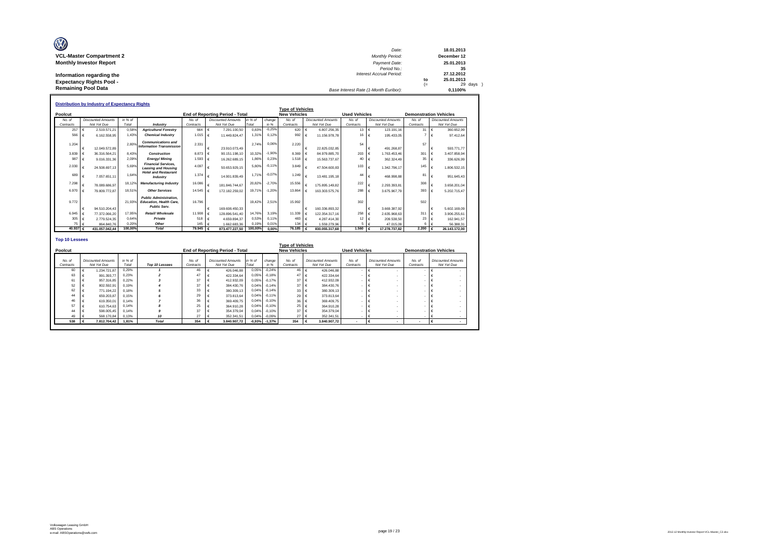| O                               | Date:                                 |     | 18.01.2013  |
|---------------------------------|---------------------------------------|-----|-------------|
| <b>VCL-Master Compartment 2</b> | <b>Monthly Period:</b>                |     | December 12 |
| <b>Monthly Investor Report</b>  | Payment Date:                         |     | 25.01.2013  |
|                                 | Period No.:                           |     | 35          |
| Information regarding the       | Interest Accrual Period:              |     | 27.12.2012  |
| <b>Expectancy Rights Pool -</b> |                                       | to  | 25.01.2013  |
|                                 |                                       | $=$ | 29 days     |
| <b>Remaining Pool Data</b>      | Base Interest Rate (1-Month Euribor): |     | 0.1100%     |

|                       | <b>Distribution by Industry of Expectancy Rights</b> |         |                                                                                        |           |            |                                        |         |          |                         |            |                           |                      |            |                           |                               |    |                           |
|-----------------------|------------------------------------------------------|---------|----------------------------------------------------------------------------------------|-----------|------------|----------------------------------------|---------|----------|-------------------------|------------|---------------------------|----------------------|------------|---------------------------|-------------------------------|----|---------------------------|
|                       |                                                      |         |                                                                                        |           |            |                                        |         |          | <b>Type of Vehicles</b> |            |                           |                      |            |                           |                               |    |                           |
| Poolcut               |                                                      |         |                                                                                        |           |            | <b>End of Reporting Period - Total</b> |         |          | <b>New Vehicles</b>     |            |                           | <b>Used Vehicles</b> |            |                           | <b>Demonstration Vehicles</b> |    |                           |
| No. of                | <b>Discounted Amounts</b>                            | in % of |                                                                                        | No. of    |            | <b>Discounted Amounts</b>              | in % of | change   | No. of                  |            | <b>Discounted Amounts</b> | No. of               |            | <b>Discounted Amounts</b> | No. of                        |    | <b>Discounted Amounts</b> |
| Contracts             | Not Yet Due                                          | Total   | Industry                                                                               | Contracts |            | Not Yet Due                            | Total   | in %     | Contracts               |            | Not Yet Due               | Contracts            |            | Not Yet Due               | Contracts                     |    | Not Yet Due               |
| 257                   | 2.519.571.21<br>$\epsilon$                           | 0.58%   | <b>Agriculture/Forestrv</b>                                                            | 664       | €          | 7.291.100.50                           | 0.83%   | $-0.25%$ | 620                     | €          | 6.807.256.35              | 13 €                 |            | 123.191.16                | 31                            | ∣€ | 360.652.99                |
| 566                   | 6.162.558.95<br>€                                    | 1.43%   | <b>Chemical Industry</b>                                                               | 1.015     | $\epsilon$ | 11.449.824.47                          | 1.31%   | 0.12%    | 992                     |            | 11.156.978.78             | $16 \quad \in$       |            | 195.433.05                |                               |    | 97.412.64                 |
| 1.204                 |                                                      | 2.80%   | <b>Communications and</b>                                                              | 2.331     |            |                                        | 2.74%   | 0.06%    | 2.220                   |            |                           |                      |            |                           | 57                            |    |                           |
|                       | 12.049.572.89<br>$\epsilon$                          |         | <b>Information Transmission</b>                                                        |           |            | 23.910.073.49                          |         |          |                         | €          | 22.825.032.85             | 54                   | $\epsilon$ | 491.268.87                |                               |    | 593.771.77                |
| 3.839                 | 36.316.564.21                                        | 8.43%   | Construction                                                                           | 8.873     |            | 90.151.198.10                          | 10.32%  | $-1.90%$ | 8.369                   |            | 84.979.885.70             | 203                  |            | 1.763.453.46              | 301                           |    | 3.407.858.94              |
| 987                   | 9.016.331.36<br>$\epsilon$                           | 2.09%   | <b>Energy/Mining</b>                                                                   | 1.593     |            | 16.262.689.15                          | 1,86%   | 0,239    | 1.518                   |            | 15.563.737.67             | 40 €                 |            | 362.324.49                | 35                            |    | 336.626.99                |
| 2.030                 |                                                      | 5.69%   | <b>Financial Services.</b>                                                             | 4.097     |            |                                        | 5.80%   |          | 3,849                   |            |                           | 103                  |            |                           | 145                           |    |                           |
|                       | 24.508.697.13                                        |         | <b>Leasing and Housing</b>                                                             |           |            | 50.653.929.15                          |         | $-0.119$ |                         |            | 47.504.600.83             |                      | $\epsilon$ | 1.342.796.17              |                               |    | 1.806.532.15              |
| 689                   | 7.057.651.11<br>$\epsilon$                           | 1.64%   | <b>Hotel and Restaurant</b><br>Industry                                                | 1.374     | €          | 14.901.839.49                          | 1.71%   | $-0.079$ | 1.249                   |            | 13.481.195.18             | 44                   | $\epsilon$ | 468,998.88                | 81                            |    | 951.645.43                |
| 7.298                 | 78.089.686.97                                        | 18.12%  | <b>Manufacturing Industry</b>                                                          | 16.086    |            | 181.846.744.67                         | 20.82%  | $-2.70%$ | 15,556                  |            | 175.895.149.82            | 222                  | $\epsilon$ | 2.293.393.81              | 308                           |    | 3.658.201.04              |
| 6,970                 | 79.809.772.87                                        | 18.51%  | <b>Other Services</b>                                                                  | 14,545    |            | 172.182.259.02                         | 19.71%  | $-1.209$ | 13,864                  |            | 163.303.575.76            | 288                  | €          | 3.675.967.79              | 393                           |    | 5.202.715.47              |
| 9.772                 |                                                      | 21.93%  | <b>Public Administration.</b><br><b>Education, Health Care.</b><br><b>Public Serv.</b> | 16,796    |            |                                        | 19.42%  | 2.51%    | 15.992                  |            |                           | 302                  |            |                           | 502                           |    |                           |
|                       | $\epsilon$<br>94.510.204.43                          |         |                                                                                        |           | €          | 169.608.450.33                         |         |          |                         | €          | 160.336.893.32            |                      | $\epsilon$ | 3.669.387.92              |                               |    | 5.602.169.09              |
| 6.945                 | $\epsilon$<br>77.372.066.20                          | 17.95%  | Retail/ Wholesale                                                                      | 11,908    | €          | 128.896.541.40                         | 14.76%  | 3.199    | 11.339                  |            | 122.354.317.16            | 258 €                |            | 2.635.968.63              | 311                           |    | 3.906.255.61              |
| 305                   | 2.779.524.35<br>€                                    | 0.64%   | Private                                                                                | 518       |            | 4.659.894.37                           | 0.53%   | 0.11%    | 483                     |            | 4.287.414.30              | 12                   | $\epsilon$ | 209.538.50                | 23                            |    | 162.941.57                |
| 75                    | 864,840.76<br>$\epsilon$                             | 0.20%   | Other                                                                                  | 145       |            | 1.662.683.36                           | 0.19%   | 0.01%    | 134                     |            | 1.559.279.96              | 5.                   |            | 47.015.09                 |                               |    | 56,388,31                 |
| 40.937 $\epsilon$     | 431.057.042.44                                       | 100,00% | <b>Total</b>                                                                           |           |            | 873.477.227.50                         | 100,00% | 0.00%    | 76.185                  | $\epsilon$ | 830.055.317.68            | 1.560 $\epsilon$     |            | 17.278.737.82             | 2.200                         |    | 26.143.172.00             |
| <b>Top 10 Lessees</b> |                                                      |         |                                                                                        |           |            |                                        |         |          | Type of Vobieles        |            |                           |                      |            |                           |                               |    |                           |

|                     |                                          |                  |                |                     |                                          |                  |                | <b>Type of Vehicles</b> |                                          |                      |                                          |                          |                                          |  |
|---------------------|------------------------------------------|------------------|----------------|---------------------|------------------------------------------|------------------|----------------|-------------------------|------------------------------------------|----------------------|------------------------------------------|--------------------------|------------------------------------------|--|
| Poolcut             |                                          |                  |                |                     | End of Reporting Period - Total          |                  |                | <b>New Vehicles</b>     |                                          | <b>Used Vehicles</b> |                                          |                          | <b>Demonstration Vehicles</b>            |  |
| No. of<br>Contracts | <b>Discounted Amounts</b><br>Not Yet Due | in % of<br>Total | Top 10 Lessees | No. of<br>Contracts | <b>Discounted Amounts</b><br>Not Yet Due | in % of<br>Total | change<br>in % | No. of<br>Contracts     | <b>Discounted Amounts</b><br>Not Yet Due | No. of<br>Contracts  | <b>Discounted Amounts</b><br>Not Yet Due | No. of<br>Contracts      | <b>Discounted Amounts</b><br>Not Yet Due |  |
| 60                  | 1.234.721.87                             | 0.29%            |                | 46                  | 426,046.88                               | 0.05%            | $-0.24%$       | 46                      | 426.046.88                               |                      |                                          |                          |                                          |  |
| 63                  | 991.393.77                               | 0.23%            |                | 47                  | 422.334.64                               | 0.05%            | $-0.18%$       | 47                      | 422.334.64                               |                      |                                          |                          |                                          |  |
| 61                  | 957.316.85                               | 0.22%            |                | 37                  | 412.932.09                               | 0.05%            | $-0.17%$       | 37                      | 412.932.09                               |                      |                                          |                          |                                          |  |
| 52                  | 802.592.91                               | 0.19%            |                | 37                  | 384,430.76                               | 0,04%            | $-0.14%$       | 37                      | 384,430.76                               |                      |                                          |                          |                                          |  |
| 62                  | 771.194.22                               | 0.18%            |                | 33                  | 380.309.13                               | 0.04%            | $-0.14%$       | 33                      | 380,309.13                               |                      |                                          |                          |                                          |  |
| 44                  | 659,203.87                               | 0.15%            |                | 29                  | 373.813.64                               | 0,04%            | $-0.11%$       | 29                      | 373,813.64                               |                      |                                          |                          |                                          |  |
| 46                  | 619,350.01                               | 0.14%            |                | 36                  | 369.409.75                               | 0,04%            | $-0.10%$       | 36                      | 369,409.75                               |                      |                                          |                          |                                          |  |
| 57                  | 610.754.63                               | 0.14%            |                | 25                  | 364.910.28                               | 0.04%            | $-0.10%$       | 25                      | 364.910.28                               |                      |                                          |                          |                                          |  |
| 44                  | 598,005.45                               | 0.14%            |                | 37                  | 354,379.04                               | 0,04%            | $-0.10%$       | 37                      | 354,379.04                               |                      |                                          |                          |                                          |  |
|                     | 568.170.84                               | 0.13%            | 10             | 27                  | 352.341.51                               | 0.04%            | $-0.09%$       | 27                      | 352.341.51                               |                      |                                          |                          |                                          |  |
| 538                 | 7.812.704,42                             | 1.81%            | <b>Total</b>   | 354                 | 3.840.907.72                             | $-0,93%$         | $-1,37%$       | 354                     | 3.840.907.72                             |                      |                                          | $\overline{\phantom{a}}$ |                                          |  |

Г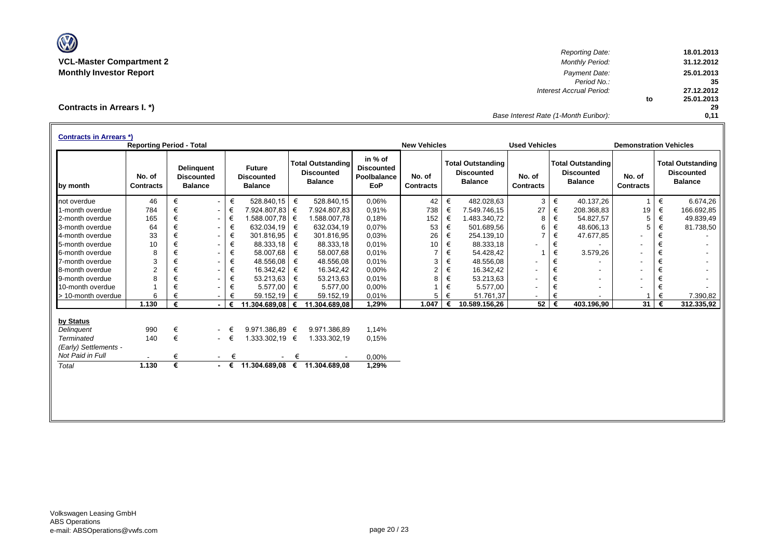

*Reporting Date:* **18.01.2013 VCL-Master Compartment 2** *Monthly Period:* **31.12.2012 Monthly Investor Report** *Payment Date:* **25.01.2013** *Period No.:* **35** *Interest Accrual Period:* **27.12.2012 to 25.01.2013 29** *Base Interest Rate (1-Month Euribor):* **0,11**

**Contracts in Arrears I. \*)**

| <b>Contracts in Arrears *)</b> | <b>Reporting Period - Total</b> |   |                                                          |             |                                                      |            |                                                                 |                                                           | <b>New Vehicles</b>        |   |                                                                 | <b>Used Vehicles</b>       |   |                                                                 | <b>Demonstration Vehicles</b> |   |                                                                 |
|--------------------------------|---------------------------------|---|----------------------------------------------------------|-------------|------------------------------------------------------|------------|-----------------------------------------------------------------|-----------------------------------------------------------|----------------------------|---|-----------------------------------------------------------------|----------------------------|---|-----------------------------------------------------------------|-------------------------------|---|-----------------------------------------------------------------|
| by month                       | No. of<br><b>Contracts</b>      |   | <b>Delinguent</b><br><b>Discounted</b><br><b>Balance</b> |             | <b>Future</b><br><b>Discounted</b><br><b>Balance</b> |            | <b>Total Outstanding</b><br><b>Discounted</b><br><b>Balance</b> | in % of<br><b>Discounted</b><br>Poolbalance<br><b>EoP</b> | No. of<br><b>Contracts</b> |   | <b>Total Outstanding</b><br><b>Discounted</b><br><b>Balance</b> | No. of<br><b>Contracts</b> |   | <b>Total Outstanding</b><br><b>Discounted</b><br><b>Balance</b> | No. of<br><b>Contracts</b>    |   | <b>Total Outstanding</b><br><b>Discounted</b><br><b>Balance</b> |
| not overdue                    | 46                              | € | $\sim$                                                   | €           | 528.840,15                                           | €          | 528.840,15                                                      | 0,06%                                                     | 42                         | € | 482.028,63                                                      | 3                          | € | 40.137,26                                                       | $\mathbf{1}$                  | € | 6.674,26                                                        |
| 1-month overdue                | 784                             | € | $\blacksquare$                                           | €           | 7.924.807,83                                         | €          | 7.924.807,83                                                    | 0,91%                                                     | 738                        | € | 7.549.746,15                                                    | 27                         | € | 208.368,83                                                      | 19                            | € | 166.692,85                                                      |
| 2-month overdue                | 165                             | € | $\sim$                                                   | €           | 1.588.007.78                                         | ∣€         | 1.588.007,78                                                    | 0.18%                                                     | 152                        | € | 1.483.340.72                                                    | 8                          | € | 54.827.57                                                       | 5                             | € | 49.839,49                                                       |
| 3-month overdue                | 64                              | € | $\sim$                                                   | €           | 632.034,19                                           | €          | 632.034,19                                                      | 0,07%                                                     | 53                         | € | 501.689,56                                                      | 6                          | € | 48.606,13                                                       | 5                             | € | 81.738,50                                                       |
| 4-month overdue                | 33                              | € | $\blacksquare$                                           | €           | 301.816,95                                           | €          | 301.816,95                                                      | 0.03%                                                     | 26                         | € | 254.139,10                                                      |                            | € | 47.677,85                                                       | $\overline{\phantom{a}}$      | € |                                                                 |
| 5-month overdue                | 10                              | € | $\sim$                                                   | €           | 88.333.18                                            | €          | 88.333,18                                                       | 0.01%                                                     | 10                         | € | 88.333,18                                                       |                            | € |                                                                 | $\blacksquare$                | € |                                                                 |
| 6-month overdue                | 8                               | € | $\overline{\phantom{0}}$                                 | €           | 58.007,68                                            | €          | 58.007,68                                                       | 0.01%                                                     | $\overline{7}$             | € | 54.428,42                                                       |                            | € | 3.579,26                                                        | $\overline{\phantom{a}}$      | € |                                                                 |
| 7-month overdue                | 3                               |   | $\overline{\phantom{0}}$                                 | €           | 48.556,08                                            | €          | 48.556,08                                                       | 0.01%                                                     | 3                          | € | 48.556,08                                                       |                            | € |                                                                 | $\overline{\phantom{a}}$      | € |                                                                 |
| 8-month overdue                | 2                               | € | $\overline{\phantom{0}}$                                 | €           | 16.342,42                                            | €          | 16.342,42                                                       | 0,00%                                                     | $\overline{2}$             | € | 16.342,42                                                       | ٠                          | € |                                                                 | $\overline{\phantom{a}}$      | € |                                                                 |
| 9-month overdue                | 8                               | € | $\overline{\phantom{0}}$                                 | €           | 53.213,63                                            | €          | 53.213,63                                                       | 0.01%                                                     | 8                          | € | 53.213,63                                                       | $\overline{\phantom{a}}$   | € | $\overline{\phantom{a}}$                                        | $\blacksquare$                | € |                                                                 |
| 10-month overdue               |                                 | € |                                                          | €           | 5.577,00                                             | €          | 5.577,00                                                        | 0,00%                                                     |                            | € | 5.577,00                                                        |                            | € |                                                                 |                               | € |                                                                 |
| > 10-month overdue             | 6                               |   |                                                          | €           | 59.152,19                                            | €          | 59.152,19                                                       | 0.01%                                                     | 5                          | € | 51.761,37                                                       |                            | € |                                                                 |                               | € | 7.390,82                                                        |
|                                | 1.130                           | € |                                                          | €           | 11.304.689,08                                        | $\epsilon$ | 11.304.689,08                                                   | 1,29%                                                     | 1.047                      |   | 10.589.156.26                                                   | 52                         | € | 403.196.90                                                      | 31                            | € | 312.335,92                                                      |
| by Status                      |                                 |   |                                                          |             |                                                      |            |                                                                 |                                                           |                            |   |                                                                 |                            |   |                                                                 |                               |   |                                                                 |
| Delinguent                     | 990                             | € | $\sim$                                                   | €           | 9.971.386.89 €                                       |            | 9.971.386.89                                                    | 1,14%                                                     |                            |   |                                                                 |                            |   |                                                                 |                               |   |                                                                 |
| <b>Terminated</b>              | 140                             | € |                                                          | $ \in$      | 1.333.302,19 €                                       |            | 1.333.302,19                                                    | 0.15%                                                     |                            |   |                                                                 |                            |   |                                                                 |                               |   |                                                                 |
| (Early) Settlements -          |                                 |   |                                                          |             |                                                      |            |                                                                 |                                                           |                            |   |                                                                 |                            |   |                                                                 |                               |   |                                                                 |
| Not Paid in Full               |                                 | € | $\sim$                                                   | €           |                                                      | €          |                                                                 | 0,00%                                                     |                            |   |                                                                 |                            |   |                                                                 |                               |   |                                                                 |
| Total                          | 1.130                           | € |                                                          | $ \epsilon$ | 11.304.689,08 €                                      |            | 11.304.689,08                                                   | 1,29%                                                     |                            |   |                                                                 |                            |   |                                                                 |                               |   |                                                                 |
|                                |                                 |   |                                                          |             |                                                      |            |                                                                 |                                                           |                            |   |                                                                 |                            |   |                                                                 |                               |   |                                                                 |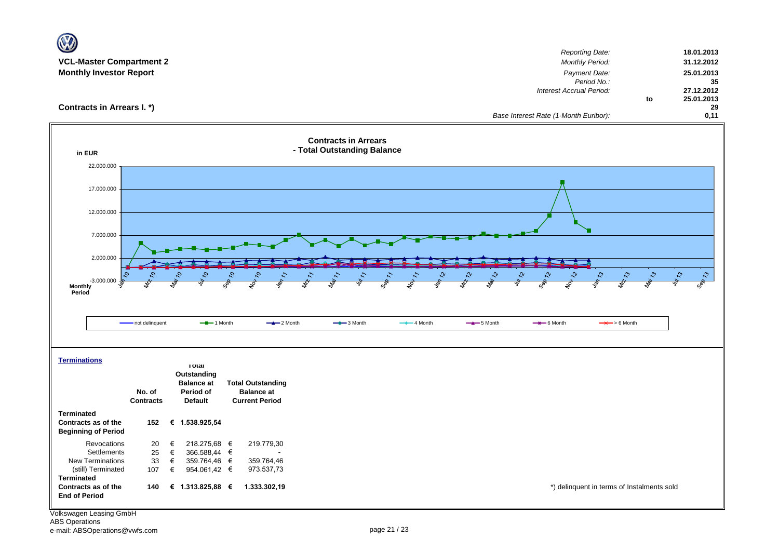| <b>Reporting Date:</b><br>18.01.2013<br><b>VCL-Master Compartment 2</b><br><b>Monthly Period:</b><br>31.12.2012<br><b>Monthly Investor Report</b><br>Payment Date:<br>25.01.2013<br>Period No.:<br>35<br>27.12.2012<br>Interest Accrual Period:<br>25.01.2013<br>to<br>Contracts in Arrears I. *)<br>29<br>0,11<br>Base Interest Rate (1-Month Euribor):<br><b>Contracts in Arrears</b><br>- Total Outstanding Balance<br>in EUR<br>22.000.000<br>17.000.000 |
|--------------------------------------------------------------------------------------------------------------------------------------------------------------------------------------------------------------------------------------------------------------------------------------------------------------------------------------------------------------------------------------------------------------------------------------------------------------|
|                                                                                                                                                                                                                                                                                                                                                                                                                                                              |
|                                                                                                                                                                                                                                                                                                                                                                                                                                                              |
|                                                                                                                                                                                                                                                                                                                                                                                                                                                              |
|                                                                                                                                                                                                                                                                                                                                                                                                                                                              |
|                                                                                                                                                                                                                                                                                                                                                                                                                                                              |
|                                                                                                                                                                                                                                                                                                                                                                                                                                                              |
|                                                                                                                                                                                                                                                                                                                                                                                                                                                              |
|                                                                                                                                                                                                                                                                                                                                                                                                                                                              |
|                                                                                                                                                                                                                                                                                                                                                                                                                                                              |
|                                                                                                                                                                                                                                                                                                                                                                                                                                                              |
|                                                                                                                                                                                                                                                                                                                                                                                                                                                              |
|                                                                                                                                                                                                                                                                                                                                                                                                                                                              |
|                                                                                                                                                                                                                                                                                                                                                                                                                                                              |
| 12.000.000                                                                                                                                                                                                                                                                                                                                                                                                                                                   |
|                                                                                                                                                                                                                                                                                                                                                                                                                                                              |
| 7.000.000                                                                                                                                                                                                                                                                                                                                                                                                                                                    |
|                                                                                                                                                                                                                                                                                                                                                                                                                                                              |
| 2.000.000                                                                                                                                                                                                                                                                                                                                                                                                                                                    |
| $\mathcal{L}^{\mathfrak{d}}$<br>Sep 73<br>$\mathcal{S}_{\mathcal{A}}$<br>Ą<br>᠊ᡐ<br>$\mathcal{L}^{\mathcal{D}}$<br>11213<br>$v_{47}$<br>r,                                                                                                                                                                                                                                                                                                                   |
| Sep 10<br>$-3.000.000$<br>Post in Post in Post in Post in Post in Post in Post in Post in Post in Post in Post in Post in Post in Post in Post in Post in Post in Post in Post in Post in Post in Post in Post in Post in Post in Post in<br>≰<br>$\overrightarrow{s}$<br>$\frac{1}{\sqrt{2}}$<br>$\overrightarrow{s}$                                                                                                                                       |
| Period                                                                                                                                                                                                                                                                                                                                                                                                                                                       |
|                                                                                                                                                                                                                                                                                                                                                                                                                                                              |
| $-$ -1 Month<br>$-2$ Month<br>$-$ 3 Month<br>$-$ 4 Month<br>$-$ 5 Month<br>$\rightarrow$ 6 Month<br>$\rightarrow$ > 6 Month<br>- not delinquent                                                                                                                                                                                                                                                                                                              |
|                                                                                                                                                                                                                                                                                                                                                                                                                                                              |
|                                                                                                                                                                                                                                                                                                                                                                                                                                                              |
| <b>Terminations</b>                                                                                                                                                                                                                                                                                                                                                                                                                                          |
| <b>Total</b>                                                                                                                                                                                                                                                                                                                                                                                                                                                 |
| Outstanding<br><b>Balance at</b><br><b>Total Outstanding</b>                                                                                                                                                                                                                                                                                                                                                                                                 |
| No. of<br>Period of<br><b>Balance at</b>                                                                                                                                                                                                                                                                                                                                                                                                                     |
| <b>Default</b><br><b>Current Period</b><br><b>Contracts</b>                                                                                                                                                                                                                                                                                                                                                                                                  |
| <b>Terminated</b>                                                                                                                                                                                                                                                                                                                                                                                                                                            |
| Contracts as of the<br>€ 1.538.925,54<br>152                                                                                                                                                                                                                                                                                                                                                                                                                 |
| <b>Beginning of Period</b>                                                                                                                                                                                                                                                                                                                                                                                                                                   |
| 219.779,30<br>Revocations<br>€<br>218.275,68 €<br>20<br>Settlements<br>25<br>€<br>366.588,44 €                                                                                                                                                                                                                                                                                                                                                               |
| <b>New Terminations</b><br>33<br>€<br>359.764,46 €<br>359.764,46                                                                                                                                                                                                                                                                                                                                                                                             |
| (still) Terminated<br>973.537,73<br>107<br>€<br>954.061,42 €                                                                                                                                                                                                                                                                                                                                                                                                 |
| <b>Terminated</b>                                                                                                                                                                                                                                                                                                                                                                                                                                            |
| *) delinquent in terms of Instalments sold<br>Contracts as of the<br>€ 1.313.825,88 €<br>1.333.302,19<br>140<br><b>End of Period</b>                                                                                                                                                                                                                                                                                                                         |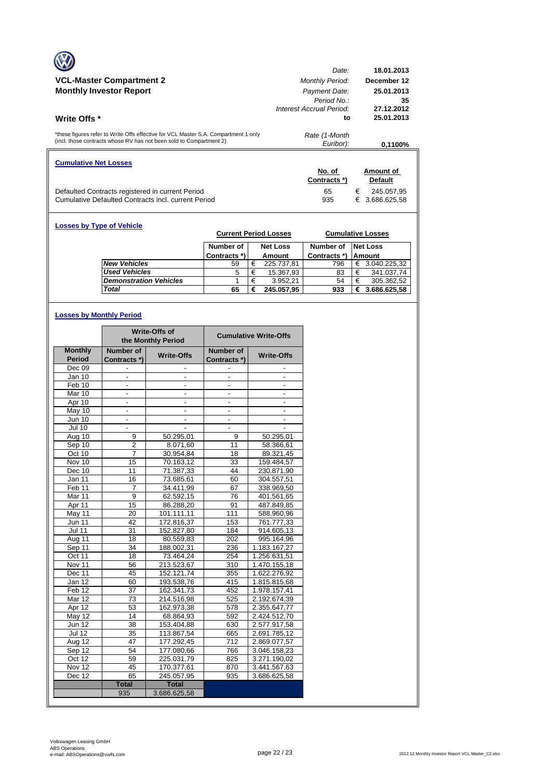|                                                                                                                                                            | Date:                      | 18.01.2013        |
|------------------------------------------------------------------------------------------------------------------------------------------------------------|----------------------------|-------------------|
| <b>VCL-Master Compartment 2</b>                                                                                                                            | <b>Monthly Period:</b>     | December 12       |
| <b>Monthly Investor Report</b>                                                                                                                             | Payment Date:              | 25.01.2013        |
|                                                                                                                                                            | Period No.                 | 35                |
|                                                                                                                                                            | Interest Accrual Period:   | 27.12.2012        |
| Write Offs *                                                                                                                                               | to                         | 25.01.2013        |
| *these figures refer to Write Offs effective for VCL Master S.A. Compartment 1 only<br>(incl. those contracts whose RV has not been sold to Compartment 2) | Rate (1-Month<br>Euribor): | 0.1100%           |
|                                                                                                                                                            |                            |                   |
| <b>Cumulative Net Losses</b>                                                                                                                               |                            |                   |
|                                                                                                                                                            | No. of                     | Amount of         |
|                                                                                                                                                            | Contracts *)               | <b>Default</b>    |
| Defaulted Contracts registered in current Period                                                                                                           | 65                         | €<br>245.057.95   |
| Cumulative Defaulted Contracts incl. current Period                                                                                                        | 935                        | €<br>3.686.625.58 |

| <b>Losses by Type of Vehicle</b> | <b>Current Period Losses</b> |   |                 |              |   | <b>Cumulative Losses</b> |
|----------------------------------|------------------------------|---|-----------------|--------------|---|--------------------------|
|                                  | Number of                    |   | <b>Net Loss</b> | Number of    |   | <b>Net Loss</b>          |
|                                  | Contracts *)                 |   | Amount          | Contracts *) |   | <b>Amount</b>            |
| <b>New Vehicles</b>              | 59                           | € | 225.737,81      | 796          | € | 3.040.225,32             |
| <b>Used Vehicles</b>             | 5                            | € | 15.367,93       | 83           | € | 341.037.74               |
| <b>Demonstration Vehicles</b>    |                              | € | 3.952.21        | 54           | € | 305.362,52               |
| Total                            | 65                           | € | 245.057,95      | 933          | € | 3.686.625,58             |

## **Losses by Monthly Period**

|                   |                          | <b>Write-Offs of</b><br>the Monthly Period |                          | <b>Cumulative Write-Offs</b> |
|-------------------|--------------------------|--------------------------------------------|--------------------------|------------------------------|
| <b>Monthly</b>    | Number of                | <b>Write-Offs</b>                          | Number of                | <b>Write-Offs</b>            |
| <b>Period</b>     | Contracts *)             |                                            | Contracts *)             |                              |
| Dec 09            |                          |                                            |                          |                              |
| Jan 10            |                          |                                            |                          |                              |
| Feb 10            | $\overline{\phantom{a}}$ | $\frac{1}{2}$                              | $\overline{\phantom{a}}$ | $\overline{\phantom{0}}$     |
| Mar 10            | ä,                       | $\overline{\phantom{a}}$                   | ÷,                       | $\overline{a}$               |
| Apr 10            |                          |                                            |                          |                              |
| May 10            | $\overline{\phantom{a}}$ | $\overline{\phantom{a}}$                   | $\overline{\phantom{a}}$ | $\overline{\phantom{a}}$     |
| <b>Jun 10</b>     | $\frac{1}{2}$            | $\overline{\phantom{a}}$                   | $\overline{\phantom{a}}$ | $\overline{\phantom{a}}$     |
| <b>Jul 10</b>     |                          |                                            |                          |                              |
| Aug 10            | 9                        | 50.295,01                                  | 9                        | 50.295,01                    |
| Sep 10            | $\overline{\mathbf{c}}$  | 8.071,60                                   | 11                       | 58.366,61                    |
| Oct 10            | 7                        | 30.954,84                                  | 18                       | 89.321,45                    |
| Nov 10            | 15                       | 70.163.12                                  | 33                       | 159.484,57                   |
| Dec 10            | 11                       | 71.387,33                                  | 44                       | 230.871,90                   |
| Jan 11            | 16                       | 73.685,61                                  | 60                       | 304.557,51                   |
| Feb <sub>11</sub> | 7                        | 34.411,99                                  | 67                       | 338.969,50                   |
| Mar 11            | 9                        | 62.592,15                                  | 76                       | 401.561,65                   |
| Apr 11            | 15                       | 86.288,20                                  | 91                       | 487.849,85                   |
| May 11            | 20                       | 101.111,11                                 | 111                      | 588.960,96                   |
| <b>Jun 11</b>     | 42                       | 172.816,37                                 | 153                      | 761.777,33                   |
| <b>Jul 11</b>     | 31                       | 152.827,80                                 | 184                      | 914.605,13                   |
| Aug 11            | 18                       | 80.559,83                                  | 202                      | 995.164,96                   |
| Sep 11            | 34                       | 188.002,31                                 | 236                      | 1.183.167,27                 |
| Oct 11            | 18                       | 73.464,24                                  | 254                      | 1.256.631,51                 |
| Nov 11            | 56                       | 213.523,67                                 | 310                      | 1.470.155,18                 |
| Dec 11            | 45                       | 152.121,74                                 | 355                      | 1.622.276,92                 |
| Jan 12            | 60                       | 193.538,76                                 | 415                      | 1.815.815,68                 |
| Feb <sub>12</sub> | 37                       | 162.341,73                                 | 452                      | 1.978.157,41                 |
| Mar 12            | 73                       | 214.516,98                                 | 525                      | 2.192.674,39                 |
| Apr 12            | 53                       | 162.973,38                                 | 578                      | 2.355.647,77                 |
| $M$ ay 12         | 14                       | 68.864.93                                  | 592                      | 2.424.512.70                 |
| <b>Jun 12</b>     | 38                       | 153.404,88                                 | 630                      | 2.577.917,58                 |
| <b>Jul 12</b>     | 35                       | 113.867,54                                 | 665                      | 2.691.785,12                 |
| Aug 12            | 47                       | 177.292,45                                 | 712                      | 2.869.077,57                 |
| Sep 12            | 54                       | 177.080,66                                 | 766                      | 3.046.158,23                 |
| Oct 12            | 59                       | 225.031,79                                 | 825                      | 3.271.190,02                 |
| Nov 12            | 45                       | 170.377,61                                 | 870                      | 3.441.567,63                 |
| Dec 12            | 65                       | 245.057,95                                 | 935                      | 3.686.625,58                 |
|                   | <b>Total</b>             | <b>Total</b>                               |                          |                              |
|                   | 935                      | 3.686.625,58                               |                          |                              |
|                   |                          |                                            |                          |                              |